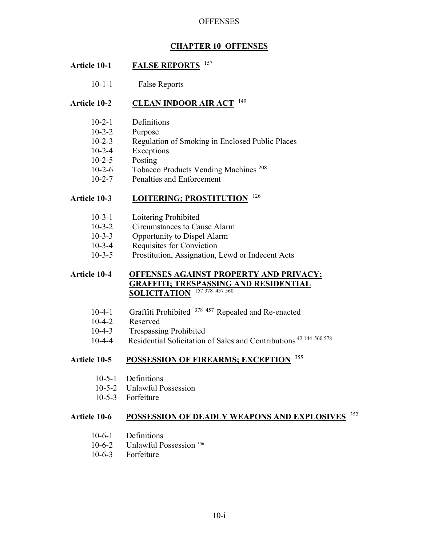# **CHAPTER 10 OFFENSES**

# **Article 10-1 FALSE REPORTS** <sup>157</sup>

10-1-1 False Reports

## **Article 10-2 CLEAN INDOOR AIR ACT** <sup>149</sup>

- 10-2-1 Definitions
- 10-2-2 Purpose
- 10-2-3 Regulation of Smoking in Enclosed Public Places
- 10-2-4 Exceptions
- 10-2-5 Posting
- 10-2-6 Tobacco Products Vending Machines<sup>208</sup>
- 10-2-7 Penalties and Enforcement

# **Article 10-3 LOITERING; PROSTITUTION** <sup>126</sup>

- 10-3-1 Loitering Prohibited
- 10-3-2 Circumstances to Cause Alarm
- 10-3-3 Opportunity to Dispel Alarm
- 10-3-4 Requisites for Conviction
- 10-3-5 Prostitution, Assignation, Lewd or Indecent Acts

# **Article 10-4 OFFENSES AGAINST PROPERTY AND PRIVACY; GRAFFITI; TRESPASSING AND RESIDENTIAL SOLICITATION** 157 378 457 560

- 10-4-1 Graffiti Prohibited 378 457 Repealed and Re-enacted
- 10-4-2 Reserved
- 10-4-3 Trespassing Prohibited
- 10-4-4 Residential Solicitation of Sales and Contributions<sup>42 144 560 578</sup>

# **Article 10-5 POSSESSION OF FIREARMS; EXCEPTION** <sup>355</sup>

- 10-5-1 Definitions
- 10-5-2 Unlawful Possession
- 10-5-3 Forfeiture

# **Article 10-6 POSSESSION OF DEADLY WEAPONS AND EXPLOSIVES** <sup>352</sup>

- 10-6-1 Definitions
- 10-6-2 Unlawful Possession<sup>506</sup>
- 10-6-3 Forfeiture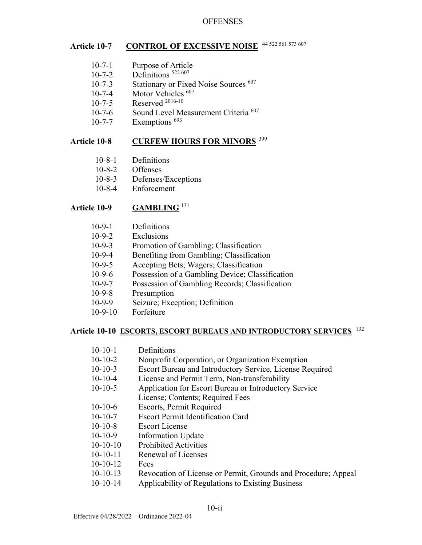# **Article 10-7** CONTROL OF EXCESSIVE NOISE 44 522 561 573 607

- 10-7-1 Purpose of Article 10-7-2 Definitions 522 607 10-7-3 Stationary or Fixed Noise Sources <sup>607</sup> 10-7-4 Motor Vehicles <sup>607</sup> 10-7-5 Reserved <sup>2016-10</sup> 10-7-6 Sound Level Measurement Criteria<sup>607</sup>
- $10-7-7$  Exemptions  $^{693}$

# Article 10-8 CURFEW HOURS FOR MINORS<sup>399</sup>

- 10-8-1 Definitions
- 10-8-2 Offenses
- 10-8-3 Defenses/Exceptions
- 10-8-4 Enforcement

### **Article 10-9 GAMBLING** <sup>131</sup>

- 10-9-1 Definitions
- 10-9-2 Exclusions
- 10-9-3 Promotion of Gambling; Classification
- 10-9-4 Benefiting from Gambling; Classification
- 10-9-5 Accepting Bets; Wagers; Classification
- 10-9-6 Possession of a Gambling Device; Classification
- 10-9-7 Possession of Gambling Records; Classification
- 10-9-8 Presumption
- 10-9-9 Seizure; Exception; Definition
- 10-9-10 Forfeiture

#### **Article 10-10 ESCORTS, ESCORT BUREAUS AND INTRODUCTORY SERVICES** <sup>132</sup>

- 10-10-1 Definitions
- 10-10-2 Nonprofit Corporation, or Organization Exemption
- 10-10-3 Escort Bureau and Introductory Service, License Required
- 10-10-4 License and Permit Term, Non-transferability
- 10-10-5 Application for Escort Bureau or Introductory Service
- License; Contents; Required Fees
- 10-10-6 Escorts, Permit Required
- 10-10-7 Escort Permit Identification Card
- 10-10-8 Escort License
- 10-10-9 Information Update
- 10-10-10 Prohibited Activities
- 10-10-11 Renewal of Licenses
- 10-10-12 Fees
- 10-10-13 Revocation of License or Permit, Grounds and Procedure; Appeal
- 10-10-14 Applicability of Regulations to Existing Business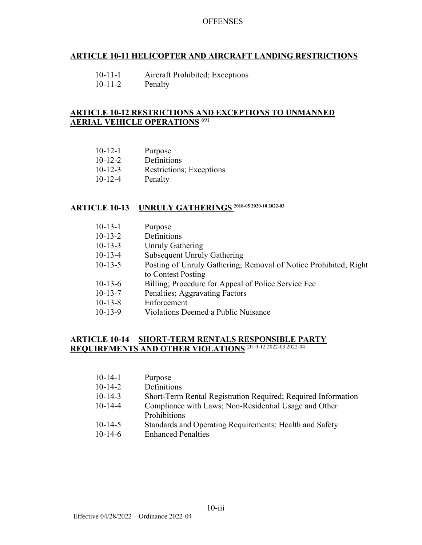# **ARTICLE 10-11 HELICOPTER AND AIRCRAFT LANDING RESTRICTIONS**

10-11-2 Penalty

#### **ARTICLE 10-12 RESTRICTIONS AND EXCEPTIONS TO UNMANNED AERIAL VEHICLE OPERATIONS** <sup>691</sup>

- 10-12-2 Definitions
- 10-12-3 Restrictions; Exceptions
- 10-12-4 Penalty

# **ARTICLE 10-13 UNRULY GATHERINGS 2018-05 2020-10 2022-03**

| $10-13-1$ | Purpose                                                          |
|-----------|------------------------------------------------------------------|
| $10-13-2$ | Definitions                                                      |
| $10-13-3$ | <b>Unruly Gathering</b>                                          |
| $10-13-4$ | <b>Subsequent Unruly Gathering</b>                               |
| $10-13-5$ | Posting of Unruly Gathering; Removal of Notice Prohibited; Right |
|           | to Contest Posting                                               |
| $10-13-6$ | Billing; Procedure for Appeal of Police Service Fee              |
| $10-13-7$ | Penalties; Aggravating Factors                                   |
| $10-13-8$ | Enforcement                                                      |
| $10-13-9$ | Violations Deemed a Public Nuisance                              |
|           |                                                                  |

#### **ARTICLE 10-14 SHORT-TERM RENTALS RESPONSIBLE PARTY REQUIREMENTS AND OTHER VIOLATIONS** 2019-12 2022-03 2022-04

| $10 - 14 - 1$ | Purpose                                                       |
|---------------|---------------------------------------------------------------|
| $10 - 14 - 2$ | Definitions                                                   |
| $10-14-3$     | Short-Term Rental Registration Required; Required Information |
| $10-14-4$     | Compliance with Laws; Non-Residential Usage and Other         |
|               | <b>Prohibitions</b>                                           |
| $10 - 14 - 5$ | Standards and Operating Requirements; Health and Safety       |

10-14-6 Enhanced Penalties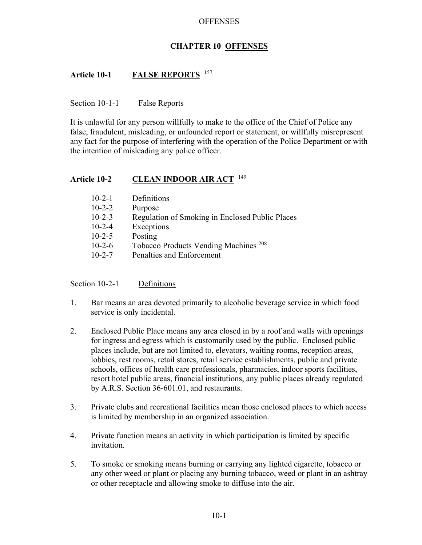## **CHAPTER 10 OFFENSES**

# **Article 10-1 FALSE REPORTS** <sup>157</sup>

#### Section 10-1-1 False Reports

It is unlawful for any person willfully to make to the office of the Chief of Police any false, fraudulent, misleading, or unfounded report or statement, or willfully misrepresent any fact for the purpose of interfering with the operation of the Police Department or with the intention of misleading any police officer.

#### **Article 10-2 CLEAN INDOOR AIR ACT** <sup>149</sup>

| $10-2-1$     | Definitions                                      |
|--------------|--------------------------------------------------|
| $10 - 2 - 2$ | Purpose                                          |
| $10 - 2 - 3$ | Regulation of Smoking in Enclosed Public Places  |
| $10 - 2 - 4$ | Exceptions                                       |
| $10 - 2 - 5$ | Posting                                          |
| $10 - 2 - 6$ | Tobacco Products Vending Machines <sup>208</sup> |
| $10 - 2 - 7$ | Penalties and Enforcement                        |

Section 10-2-1 Definitions

- 1. Bar means an area devoted primarily to alcoholic beverage service in which food service is only incidental.
- 2. Enclosed Public Place means any area closed in by a roof and walls with openings for ingress and egress which is customarily used by the public. Enclosed public places include, but are not limited to, elevators, waiting rooms, reception areas, lobbies, rest rooms, retail stores, retail service establishments, public and private schools, offices of health care professionals, pharmacies, indoor sports facilities, resort hotel public areas, financial institutions, any public places already regulated by A.R.S. Section 36-601.01, and restaurants.
- 3. Private clubs and recreational facilities mean those enclosed places to which access is limited by membership in an organized association.
- 4. Private function means an activity in which participation is limited by specific invitation.
- 5. To smoke or smoking means burning or carrying any lighted cigarette, tobacco or any other weed or plant or placing any burning tobacco, weed or plant in an ashtray or other receptacle and allowing smoke to diffuse into the air.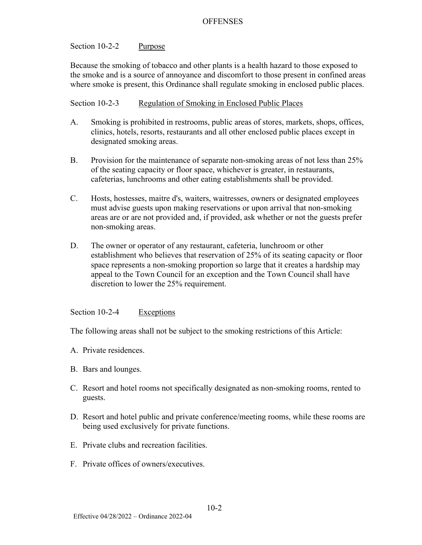# Section 10-2-2 Purpose

Because the smoking of tobacco and other plants is a health hazard to those exposed to the smoke and is a source of annoyance and discomfort to those present in confined areas where smoke is present, this Ordinance shall regulate smoking in enclosed public places.

### Section 10-2-3 Regulation of Smoking in Enclosed Public Places

- A. Smoking is prohibited in restrooms, public areas of stores, markets, shops, offices, clinics, hotels, resorts, restaurants and all other enclosed public places except in designated smoking areas.
- B. Provision for the maintenance of separate non-smoking areas of not less than 25% of the seating capacity or floor space, whichever is greater, in restaurants, cafeterias, lunchrooms and other eating establishments shall be provided.
- C. Hosts, hostesses, maitre d's, waiters, waitresses, owners or designated employees must advise guests upon making reservations or upon arrival that non-smoking areas are or are not provided and, if provided, ask whether or not the guests prefer non-smoking areas.
- D. The owner or operator of any restaurant, cafeteria, lunchroom or other establishment who believes that reservation of 25% of its seating capacity or floor space represents a non-smoking proportion so large that it creates a hardship may appeal to the Town Council for an exception and the Town Council shall have discretion to lower the 25% requirement.

Section 10-2-4 Exceptions

The following areas shall not be subject to the smoking restrictions of this Article:

- A. Private residences.
- B. Bars and lounges.
- C. Resort and hotel rooms not specifically designated as non-smoking rooms, rented to guests.
- D. Resort and hotel public and private conference/meeting rooms, while these rooms are being used exclusively for private functions.
- E. Private clubs and recreation facilities.
- F. Private offices of owners/executives.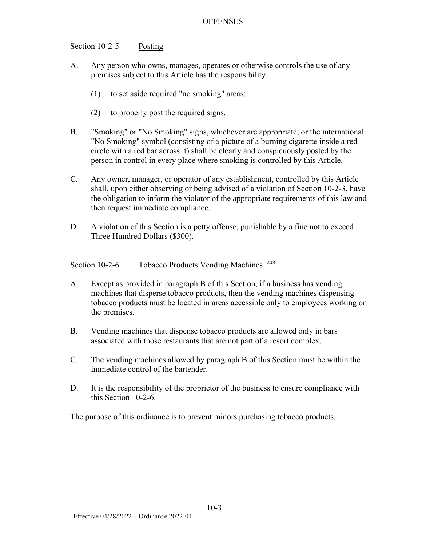#### Section 10-2-5 Posting

- A. Any person who owns, manages, operates or otherwise controls the use of any premises subject to this Article has the responsibility:
	- (1) to set aside required "no smoking" areas;
	- (2) to properly post the required signs.
- B. "Smoking" or "No Smoking" signs, whichever are appropriate, or the international "No Smoking" symbol (consisting of a picture of a burning cigarette inside a red circle with a red bar across it) shall be clearly and conspicuously posted by the person in control in every place where smoking is controlled by this Article.
- C. Any owner, manager, or operator of any establishment, controlled by this Article shall, upon either observing or being advised of a violation of Section 10-2-3, have the obligation to inform the violator of the appropriate requirements of this law and then request immediate compliance.
- D. A violation of this Section is a petty offense, punishable by a fine not to exceed Three Hundred Dollars (\$300).

Section 10-2-6 Tobacco Products Vending Machines <sup>208</sup>

- A. Except as provided in paragraph B of this Section, if a business has vending machines that disperse tobacco products, then the vending machines dispensing tobacco products must be located in areas accessible only to employees working on the premises.
- B. Vending machines that dispense tobacco products are allowed only in bars associated with those restaurants that are not part of a resort complex.
- C. The vending machines allowed by paragraph B of this Section must be within the immediate control of the bartender.
- D. It is the responsibility of the proprietor of the business to ensure compliance with this Section 10-2-6.

The purpose of this ordinance is to prevent minors purchasing tobacco products.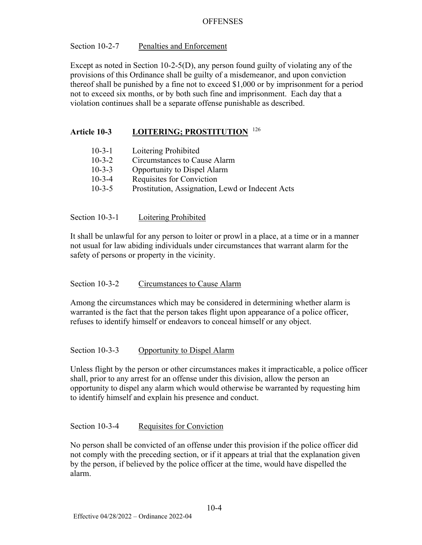### Section 10-2-7 Penalties and Enforcement

Except as noted in Section 10-2-5(D), any person found guilty of violating any of the provisions of this Ordinance shall be guilty of a misdemeanor, and upon conviction thereof shall be punished by a fine not to exceed \$1,000 or by imprisonment for a period not to exceed six months, or by both such fine and imprisonment. Each day that a violation continues shall be a separate offense punishable as described.

# **Article 10-3 LOITERING; PROSTITUTION** <sup>126</sup>

| $10 - 3 - 1$ | Loitering Prohibited                             |
|--------------|--------------------------------------------------|
| $10 - 3 - 2$ | Circumstances to Cause Alarm                     |
| $10 - 3 - 3$ | <b>Opportunity to Dispel Alarm</b>               |
| $10 - 3 - 4$ | Requisites for Conviction                        |
| $10 - 3 - 5$ | Prostitution, Assignation, Lewd or Indecent Acts |

Section 10-3-1 Loitering Prohibited

It shall be unlawful for any person to loiter or prowl in a place, at a time or in a manner not usual for law abiding individuals under circumstances that warrant alarm for the safety of persons or property in the vicinity.

# Section 10-3-2 Circumstances to Cause Alarm

Among the circumstances which may be considered in determining whether alarm is warranted is the fact that the person takes flight upon appearance of a police officer, refuses to identify himself or endeavors to conceal himself or any object.

# Section 10-3-3 Opportunity to Dispel Alarm

Unless flight by the person or other circumstances makes it impracticable, a police officer shall, prior to any arrest for an offense under this division, allow the person an opportunity to dispel any alarm which would otherwise be warranted by requesting him to identify himself and explain his presence and conduct.

### Section 10-3-4 Requisites for Conviction

No person shall be convicted of an offense under this provision if the police officer did not comply with the preceding section, or if it appears at trial that the explanation given by the person, if believed by the police officer at the time, would have dispelled the alarm.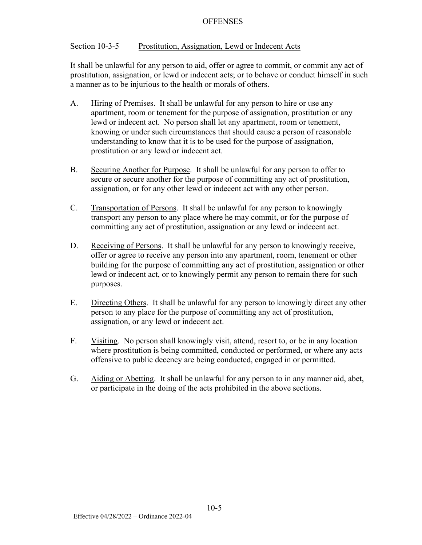#### Section 10-3-5 Prostitution, Assignation, Lewd or Indecent Acts

It shall be unlawful for any person to aid, offer or agree to commit, or commit any act of prostitution, assignation, or lewd or indecent acts; or to behave or conduct himself in such a manner as to be injurious to the health or morals of others.

- A. Hiring of Premises. It shall be unlawful for any person to hire or use any apartment, room or tenement for the purpose of assignation, prostitution or any lewd or indecent act. No person shall let any apartment, room or tenement, knowing or under such circumstances that should cause a person of reasonable understanding to know that it is to be used for the purpose of assignation, prostitution or any lewd or indecent act.
- B. Securing Another for Purpose. It shall be unlawful for any person to offer to secure or secure another for the purpose of committing any act of prostitution, assignation, or for any other lewd or indecent act with any other person.
- C. Transportation of Persons. It shall be unlawful for any person to knowingly transport any person to any place where he may commit, or for the purpose of committing any act of prostitution, assignation or any lewd or indecent act.
- D. Receiving of Persons. It shall be unlawful for any person to knowingly receive, offer or agree to receive any person into any apartment, room, tenement or other building for the purpose of committing any act of prostitution, assignation or other lewd or indecent act, or to knowingly permit any person to remain there for such purposes.
- E. Directing Others. It shall be unlawful for any person to knowingly direct any other person to any place for the purpose of committing any act of prostitution, assignation, or any lewd or indecent act.
- F. Visiting. No person shall knowingly visit, attend, resort to, or be in any location where prostitution is being committed, conducted or performed, or where any acts offensive to public decency are being conducted, engaged in or permitted.
- G. Aiding or Abetting. It shall be unlawful for any person to in any manner aid, abet, or participate in the doing of the acts prohibited in the above sections.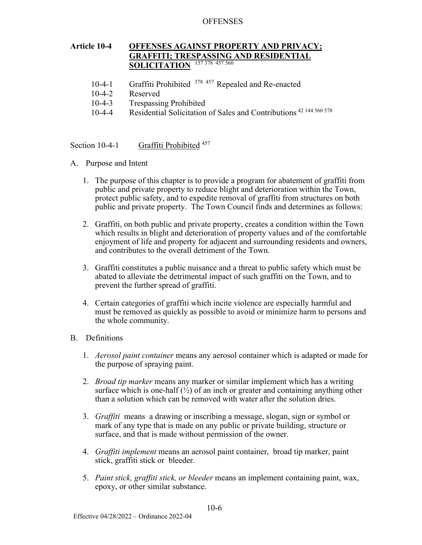#### **Article 10-4 OFFENSES AGAINST PROPERTY AND PRIVACY; GRAFFITI; TRESPASSING AND RESIDENTIAL SOLICITATION**  $\frac{157378457560}{157378457560}$

- 10-4-1 Graffiti Prohibited <sup>378 457</sup> Repealed and Re-enacted
- 10-4-2 Reserved
- 10-4-3 Trespassing Prohibited
- 10-4-4 Residential Solicitation of Sales and Contributions 42 144 560 578

Section 10-4-1 Graffiti Prohibited <sup>457</sup>

- A. Purpose and Intent
	- 1. The purpose of this chapter is to provide a program for abatement of graffiti from public and private property to reduce blight and deterioration within the Town, protect public safety, and to expedite removal of graffiti from structures on both public and private property. The Town Council finds and determines as follows:
	- 2. Graffiti, on both public and private property, creates a condition within the Town which results in blight and deterioration of property values and of the comfortable enjoyment of life and property for adjacent and surrounding residents and owners, and contributes to the overall detriment of the Town.
	- 3. Graffiti constitutes a public nuisance and a threat to public safety which must be abated to alleviate the detrimental impact of such graffiti on the Town, and to prevent the further spread of graffiti.
	- 4. Certain categories of graffiti which incite violence are especially harmful and must be removed as quickly as possible to avoid or minimize harm to persons and the whole community.

### B. Definitions

- 1. *Aerosol paint container* means any aerosol container which is adapted or made for the purpose of spraying paint.
- 2. *Broad tip marker* means any marker or similar implement which has a writing surface which is one-half  $\frac{1}{2}$  of an inch or greater and containing anything other than a solution which can be removed with water after the solution dries.
- 3. *Graffiti* means a drawing or inscribing a message, slogan, sign or symbol or mark of any type that is made on any public or private building, structure or surface, and that is made without permission of the owner.
- 4. *Graffiti implement* means an aerosol paint container, broad tip marker, paint stick, graffiti stick or bleeder.
- 5. *Paint stick, graffiti stick, or bleeder* means an implement containing paint, wax, epoxy, or other similar substance.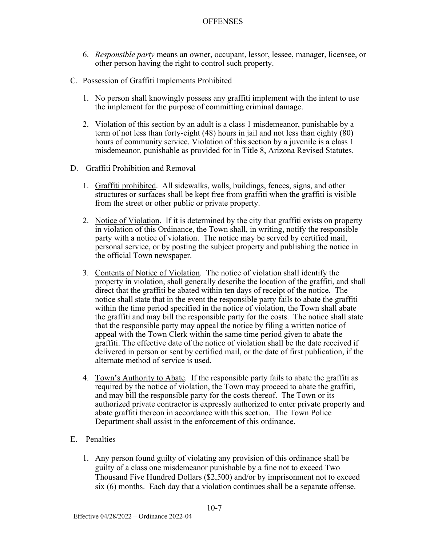- 6. *Responsible party* means an owner, occupant, lessor, lessee, manager, licensee, or other person having the right to control such property.
- C. Possession of Graffiti Implements Prohibited
	- 1. No person shall knowingly possess any graffiti implement with the intent to use the implement for the purpose of committing criminal damage.
	- 2. Violation of this section by an adult is a class 1 misdemeanor, punishable by a term of not less than forty-eight (48) hours in jail and not less than eighty (80) hours of community service. Violation of this section by a juvenile is a class 1 misdemeanor, punishable as provided for in Title 8, Arizona Revised Statutes.
- D. Graffiti Prohibition and Removal
	- 1. Graffiti prohibited. All sidewalks, walls, buildings, fences, signs, and other structures or surfaces shall be kept free from graffiti when the graffiti is visible from the street or other public or private property.
	- 2. Notice of Violation. If it is determined by the city that graffiti exists on property in violation of this Ordinance, the Town shall, in writing, notify the responsible party with a notice of violation. The notice may be served by certified mail, personal service, or by posting the subject property and publishing the notice in the official Town newspaper.
	- 3. Contents of Notice of Violation. The notice of violation shall identify the property in violation, shall generally describe the location of the graffiti, and shall direct that the graffiti be abated within ten days of receipt of the notice. The notice shall state that in the event the responsible party fails to abate the graffiti within the time period specified in the notice of violation, the Town shall abate the graffiti and may bill the responsible party for the costs. The notice shall state that the responsible party may appeal the notice by filing a written notice of appeal with the Town Clerk within the same time period given to abate the graffiti. The effective date of the notice of violation shall be the date received if delivered in person or sent by certified mail, or the date of first publication, if the alternate method of service is used.
	- 4. Town's Authority to Abate. If the responsible party fails to abate the graffiti as required by the notice of violation, the Town may proceed to abate the graffiti, and may bill the responsible party for the costs thereof. The Town or its authorized private contractor is expressly authorized to enter private property and abate graffiti thereon in accordance with this section. The Town Police Department shall assist in the enforcement of this ordinance.
- E. Penalties
	- 1. Any person found guilty of violating any provision of this ordinance shall be guilty of a class one misdemeanor punishable by a fine not to exceed Two Thousand Five Hundred Dollars (\$2,500) and/or by imprisonment not to exceed six (6) months. Each day that a violation continues shall be a separate offense.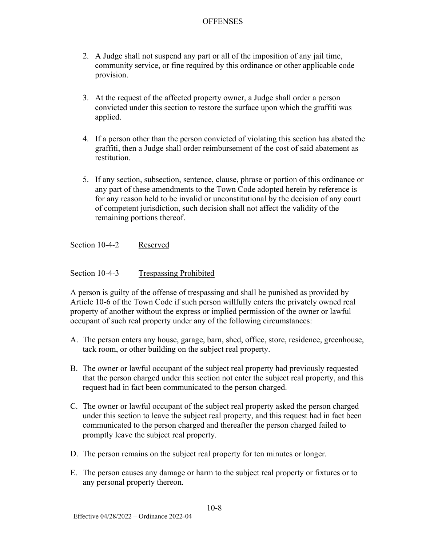- 2. A Judge shall not suspend any part or all of the imposition of any jail time, community service, or fine required by this ordinance or other applicable code provision.
- 3. At the request of the affected property owner, a Judge shall order a person convicted under this section to restore the surface upon which the graffiti was applied.
- 4. If a person other than the person convicted of violating this section has abated the graffiti, then a Judge shall order reimbursement of the cost of said abatement as restitution.
- 5. If any section, subsection, sentence, clause, phrase or portion of this ordinance or any part of these amendments to the Town Code adopted herein by reference is for any reason held to be invalid or unconstitutional by the decision of any court of competent jurisdiction, such decision shall not affect the validity of the remaining portions thereof.

Section 10-4-2 Reserved

Section 10-4-3 Trespassing Prohibited

A person is guilty of the offense of trespassing and shall be punished as provided by Article 10-6 of the Town Code if such person willfully enters the privately owned real property of another without the express or implied permission of the owner or lawful occupant of such real property under any of the following circumstances:

- A. The person enters any house, garage, barn, shed, office, store, residence, greenhouse, tack room, or other building on the subject real property.
- B. The owner or lawful occupant of the subject real property had previously requested that the person charged under this section not enter the subject real property, and this request had in fact been communicated to the person charged.
- C. The owner or lawful occupant of the subject real property asked the person charged under this section to leave the subject real property, and this request had in fact been communicated to the person charged and thereafter the person charged failed to promptly leave the subject real property.
- D. The person remains on the subject real property for ten minutes or longer.
- E. The person causes any damage or harm to the subject real property or fixtures or to any personal property thereon.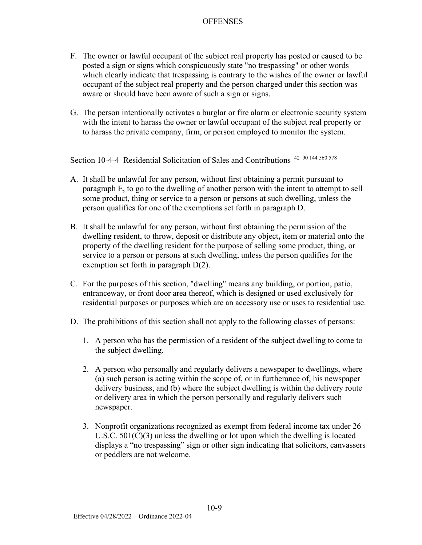- F. The owner or lawful occupant of the subject real property has posted or caused to be posted a sign or signs which conspicuously state "no trespassing" or other words which clearly indicate that trespassing is contrary to the wishes of the owner or lawful occupant of the subject real property and the person charged under this section was aware or should have been aware of such a sign or signs.
- G. The person intentionally activates a burglar or fire alarm or electronic security system with the intent to harass the owner or lawful occupant of the subject real property or to harass the private company, firm, or person employed to monitor the system.

Section 10-4-4 Residential Solicitation of Sales and Contributions<sup>42 90 144 560 578</sup>

- A. It shall be unlawful for any person, without first obtaining a permit pursuant to paragraph E, to go to the dwelling of another person with the intent to attempt to sell some product, thing or service to a person or persons at such dwelling, unless the person qualifies for one of the exemptions set forth in paragraph D.
- B. It shall be unlawful for any person, without first obtaining the permission of the dwelling resident, to throw, deposit or distribute any object**,** item or material onto the property of the dwelling resident for the purpose of selling some product, thing, or service to a person or persons at such dwelling, unless the person qualifies for the exemption set forth in paragraph D(2).
- C. For the purposes of this section, "dwelling" means any building, or portion, patio, entranceway, or front door area thereof, which is designed or used exclusively for residential purposes or purposes which are an accessory use or uses to residential use.
- D. The prohibitions of this section shall not apply to the following classes of persons:
	- 1. A person who has the permission of a resident of the subject dwelling to come to the subject dwelling.
	- 2. A person who personally and regularly delivers a newspaper to dwellings, where (a) such person is acting within the scope of, or in furtherance of, his newspaper delivery business, and (b) where the subject dwelling is within the delivery route or delivery area in which the person personally and regularly delivers such newspaper.
	- 3. Nonprofit organizations recognized as exempt from federal income tax under 26 U.S.C. 501(C)(3) unless the dwelling or lot upon which the dwelling is located displays a "no trespassing" sign or other sign indicating that solicitors, canvassers or peddlers are not welcome.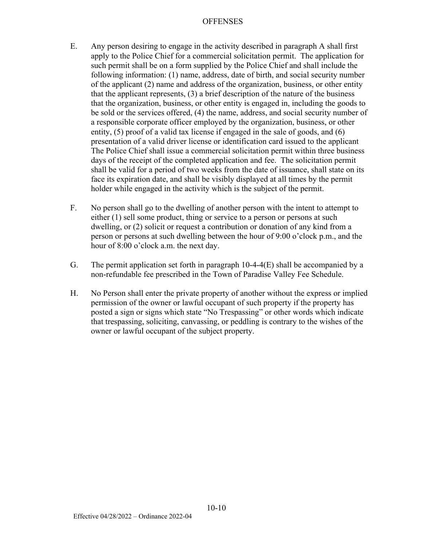- E. Any person desiring to engage in the activity described in paragraph A shall first apply to the Police Chief for a commercial solicitation permit. The application for such permit shall be on a form supplied by the Police Chief and shall include the following information: (1) name, address, date of birth, and social security number of the applicant (2) name and address of the organization, business, or other entity that the applicant represents, (3) a brief description of the nature of the business that the organization, business, or other entity is engaged in, including the goods to be sold or the services offered, (4) the name, address, and social security number of a responsible corporate officer employed by the organization, business, or other entity, (5) proof of a valid tax license if engaged in the sale of goods, and (6) presentation of a valid driver license or identification card issued to the applicant The Police Chief shall issue a commercial solicitation permit within three business days of the receipt of the completed application and fee. The solicitation permit shall be valid for a period of two weeks from the date of issuance, shall state on its face its expiration date, and shall be visibly displayed at all times by the permit holder while engaged in the activity which is the subject of the permit.
- F. No person shall go to the dwelling of another person with the intent to attempt to either (1) sell some product, thing or service to a person or persons at such dwelling, or (2) solicit or request a contribution or donation of any kind from a person or persons at such dwelling between the hour of 9:00 o'clock p.m., and the hour of 8:00 o'clock a.m. the next day.
- G. The permit application set forth in paragraph 10-4-4(E) shall be accompanied by a non-refundable fee prescribed in the Town of Paradise Valley Fee Schedule.
- H. No Person shall enter the private property of another without the express or implied permission of the owner or lawful occupant of such property if the property has posted a sign or signs which state "No Trespassing" or other words which indicate that trespassing, soliciting, canvassing, or peddling is contrary to the wishes of the owner or lawful occupant of the subject property.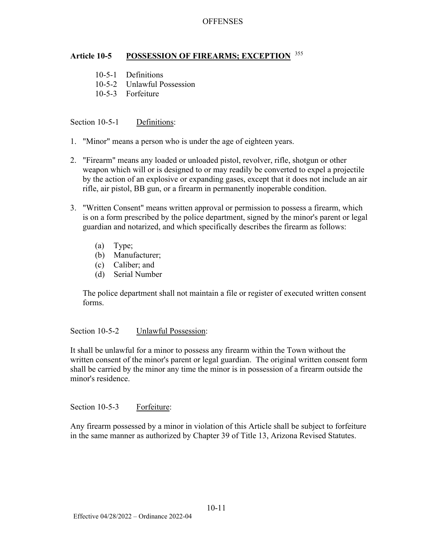#### **Article 10-5 POSSESSION OF FIREARMS; EXCEPTION** <sup>355</sup>

- 10-5-1 Definitions
- 10-5-2 Unlawful Possession
- 10-5-3 Forfeiture

Section 10-5-1 Definitions:

- 1. "Minor" means a person who is under the age of eighteen years.
- 2. "Firearm" means any loaded or unloaded pistol, revolver, rifle, shotgun or other weapon which will or is designed to or may readily be converted to expel a projectile by the action of an explosive or expanding gases, except that it does not include an air rifle, air pistol, BB gun, or a firearm in permanently inoperable condition.
- 3. "Written Consent" means written approval or permission to possess a firearm, which is on a form prescribed by the police department, signed by the minor's parent or legal guardian and notarized, and which specifically describes the firearm as follows:
	- (a) Type;
	- (b) Manufacturer;
	- (c) Caliber; and
	- (d) Serial Number

The police department shall not maintain a file or register of executed written consent forms.

Section 10-5-2 Unlawful Possession:

It shall be unlawful for a minor to possess any firearm within the Town without the written consent of the minor's parent or legal guardian. The original written consent form shall be carried by the minor any time the minor is in possession of a firearm outside the minor's residence.

Section 10-5-3 Forfeiture:

Any firearm possessed by a minor in violation of this Article shall be subject to forfeiture in the same manner as authorized by Chapter 39 of Title 13, Arizona Revised Statutes.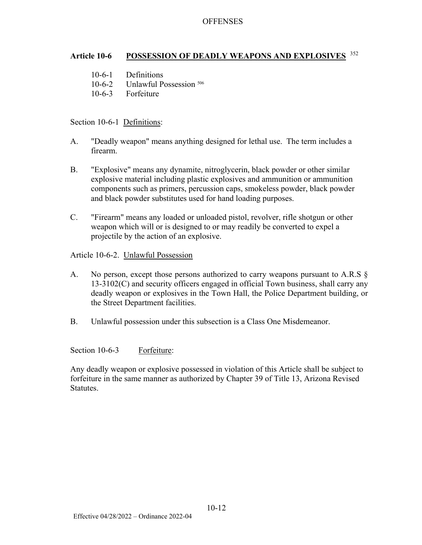# **Article 10-6 POSSESSION OF DEADLY WEAPONS AND EXPLOSIVES** <sup>352</sup>

- 10-6-1 Definitions
- 10-6-2 Unlawful Possession<sup>506</sup>
- 10-6-3 Forfeiture

#### Section 10-6-1 Definitions:

- A. "Deadly weapon" means anything designed for lethal use. The term includes a firearm.
- B. "Explosive" means any dynamite, nitroglycerin, black powder or other similar explosive material including plastic explosives and ammunition or ammunition components such as primers, percussion caps, smokeless powder, black powder and black powder substitutes used for hand loading purposes.
- C. "Firearm" means any loaded or unloaded pistol, revolver, rifle shotgun or other weapon which will or is designed to or may readily be converted to expel a projectile by the action of an explosive.

#### Article 10-6-2. Unlawful Possession

- A. No person, except those persons authorized to carry weapons pursuant to A.R.S § 13-3102(C) and security officers engaged in official Town business, shall carry any deadly weapon or explosives in the Town Hall, the Police Department building, or the Street Department facilities.
- B. Unlawful possession under this subsection is a Class One Misdemeanor.

Section 10-6-3 Forfeiture:

Any deadly weapon or explosive possessed in violation of this Article shall be subject to forfeiture in the same manner as authorized by Chapter 39 of Title 13, Arizona Revised Statutes.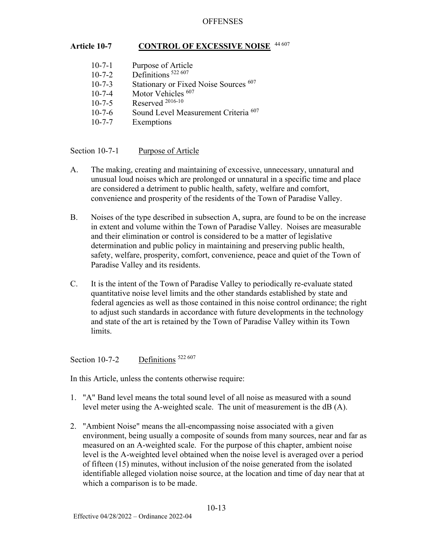### Article 10-7 CONTROL OF EXCESSIVE NOISE

| $10 - 7 - 1$ | Purpose of Article                              |
|--------------|-------------------------------------------------|
| $10 - 7 - 2$ | Definitions <sup>522 607</sup>                  |
| $10 - 7 - 3$ | Stationary or Fixed Noise Sources 607           |
| $10 - 7 - 4$ | Motor Vehicles <sup>607</sup>                   |
| $10 - 7 - 5$ | Reserved $^{2016-10}$                           |
| $10 - 7 - 6$ | Sound Level Measurement Criteria <sup>607</sup> |
| $10 - 7 - 7$ | Exemptions                                      |

Section 10-7-1 Purpose of Article

- A. The making, creating and maintaining of excessive, unnecessary, unnatural and unusual loud noises which are prolonged or unnatural in a specific time and place are considered a detriment to public health, safety, welfare and comfort, convenience and prosperity of the residents of the Town of Paradise Valley.
- B. Noises of the type described in subsection A, supra, are found to be on the increase in extent and volume within the Town of Paradise Valley. Noises are measurable and their elimination or control is considered to be a matter of legislative determination and public policy in maintaining and preserving public health, safety, welfare, prosperity, comfort, convenience, peace and quiet of the Town of Paradise Valley and its residents.
- C. It is the intent of the Town of Paradise Valley to periodically re-evaluate stated quantitative noise level limits and the other standards established by state and federal agencies as well as those contained in this noise control ordinance; the right to adjust such standards in accordance with future developments in the technology and state of the art is retained by the Town of Paradise Valley within its Town limits.

Section 10-7-2  $\qquad$  Definitions <sup>522 607</sup>

In this Article, unless the contents otherwise require:

- 1. "A" Band level means the total sound level of all noise as measured with a sound level meter using the A-weighted scale. The unit of measurement is the dB (A).
- 2. "Ambient Noise" means the all-encompassing noise associated with a given environment, being usually a composite of sounds from many sources, near and far as measured on an A-weighted scale. For the purpose of this chapter, ambient noise level is the A-weighted level obtained when the noise level is averaged over a period of fifteen (15) minutes, without inclusion of the noise generated from the isolated identifiable alleged violation noise source, at the location and time of day near that at which a comparison is to be made.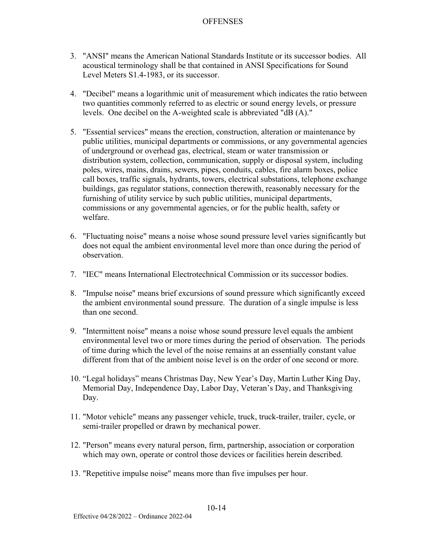- 3. "ANSI" means the American National Standards Institute or its successor bodies. All acoustical terminology shall be that contained in ANSI Specifications for Sound Level Meters S1.4-1983, or its successor.
- 4. "Decibel" means a logarithmic unit of measurement which indicates the ratio between two quantities commonly referred to as electric or sound energy levels, or pressure levels. One decibel on the A-weighted scale is abbreviated "dB (A)."
- 5. "Essential services" means the erection, construction, alteration or maintenance by public utilities, municipal departments or commissions, or any governmental agencies of underground or overhead gas, electrical, steam or water transmission or distribution system, collection, communication, supply or disposal system, including poles, wires, mains, drains, sewers, pipes, conduits, cables, fire alarm boxes, police call boxes, traffic signals, hydrants, towers, electrical substations, telephone exchange buildings, gas regulator stations, connection therewith, reasonably necessary for the furnishing of utility service by such public utilities, municipal departments, commissions or any governmental agencies, or for the public health, safety or welfare.
- 6. "Fluctuating noise" means a noise whose sound pressure level varies significantly but does not equal the ambient environmental level more than once during the period of observation.
- 7. "IEC" means International Electrotechnical Commission or its successor bodies.
- 8. "Impulse noise" means brief excursions of sound pressure which significantly exceed the ambient environmental sound pressure. The duration of a single impulse is less than one second.
- 9. "Intermittent noise" means a noise whose sound pressure level equals the ambient environmental level two or more times during the period of observation. The periods of time during which the level of the noise remains at an essentially constant value different from that of the ambient noise level is on the order of one second or more.
- 10. "Legal holidays" means Christmas Day, New Year's Day, Martin Luther King Day, Memorial Day, Independence Day, Labor Day, Veteran's Day, and Thanksgiving Day.
- 11. "Motor vehicle" means any passenger vehicle, truck, truck-trailer, trailer, cycle, or semi-trailer propelled or drawn by mechanical power.
- 12. "Person" means every natural person, firm, partnership, association or corporation which may own, operate or control those devices or facilities herein described.
- 13. "Repetitive impulse noise" means more than five impulses per hour.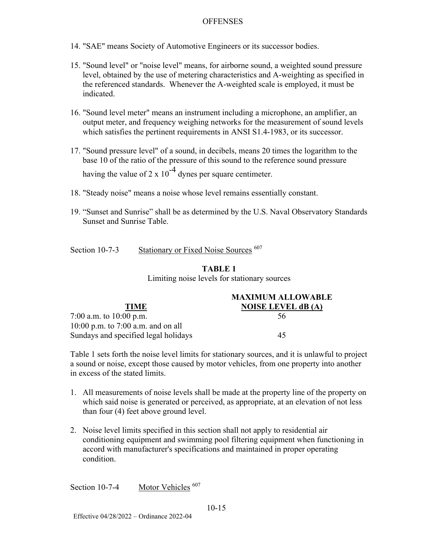- 14. "SAE" means Society of Automotive Engineers or its successor bodies.
- 15. "Sound level" or "noise level" means, for airborne sound, a weighted sound pressure level, obtained by the use of metering characteristics and A-weighting as specified in the referenced standards. Whenever the A-weighted scale is employed, it must be indicated.
- 16. "Sound level meter" means an instrument including a microphone, an amplifier, an output meter, and frequency weighing networks for the measurement of sound levels which satisfies the pertinent requirements in ANSI S1.4-1983, or its successor.
- 17. "Sound pressure level" of a sound, in decibels, means 20 times the logarithm to the base 10 of the ratio of the pressure of this sound to the reference sound pressure having the value of 2 x  $10^{-4}$  dynes per square centimeter.
- 18. "Steady noise" means a noise whose level remains essentially constant.
- 19. "Sunset and Sunrise" shall be as determined by the U.S. Naval Observatory Standards Sunset and Sunrise Table.

| Section $10-7-3$ | Stationary or Fixed Noise Sources <sup>607</sup> |
|------------------|--------------------------------------------------|
|                  |                                                  |

# **TABLE 1**

Limiting noise levels for stationary sources

|                                      | <b>MAXIMUM ALLOWABLE</b>  |
|--------------------------------------|---------------------------|
| <b>TIME</b>                          | <b>NOISE LEVEL dB</b> (A) |
| 7:00 a.m. to $10:00$ p.m.            | 56                        |
| 10:00 p.m. to $7:00$ a.m. and on all |                           |
| Sundays and specified legal holidays | 45                        |

Table 1 sets forth the noise level limits for stationary sources, and it is unlawful to project a sound or noise, except those caused by motor vehicles, from one property into another in excess of the stated limits.

- 1. All measurements of noise levels shall be made at the property line of the property on which said noise is generated or perceived, as appropriate, at an elevation of not less than four (4) feet above ground level.
- 2. Noise level limits specified in this section shall not apply to residential air conditioning equipment and swimming pool filtering equipment when functioning in accord with manufacturer's specifications and maintained in proper operating condition.

Section 10-7-4 Motor Vehicles <sup>607</sup>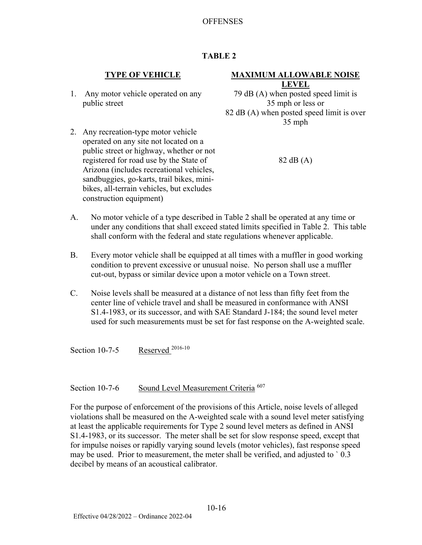# **TABLE 2**

1. Any motor vehicle operated on any public street

2. Any recreation-type motor vehicle operated on any site not located on a

#### **TYPE OF VEHICLE MAXIMUM ALLOWABLE NOISE LEVEL**

79 dB (A) when posted speed limit is 35 mph or less or 82 dB (A) when posted speed limit is over 35 mph

- 82 dB (A)
- public street or highway, whether or not registered for road use by the State of Arizona (includes recreational vehicles, sandbuggies, go-karts, trail bikes, minibikes, all-terrain vehicles, but excludes construction equipment)
- A. No motor vehicle of a type described in Table 2 shall be operated at any time or under any conditions that shall exceed stated limits specified in Table 2. This table shall conform with the federal and state regulations whenever applicable.
- B. Every motor vehicle shall be equipped at all times with a muffler in good working condition to prevent excessive or unusual noise. No person shall use a muffler cut-out, bypass or similar device upon a motor vehicle on a Town street.
- C. Noise levels shall be measured at a distance of not less than fifty feet from the center line of vehicle travel and shall be measured in conformance with ANSI S1.4-1983, or its successor, and with SAE Standard J-184; the sound level meter used for such measurements must be set for fast response on the A-weighted scale.

Section 10-7-5 Reserved <sup>2016-10</sup>

Section 10-7-6 Sound Level Measurement Criteria <sup>607</sup>

For the purpose of enforcement of the provisions of this Article, noise levels of alleged violations shall be measured on the A-weighted scale with a sound level meter satisfying at least the applicable requirements for Type 2 sound level meters as defined in ANSI S1.4-1983, or its successor. The meter shall be set for slow response speed, except that for impulse noises or rapidly varying sound levels (motor vehicles), fast response speed may be used. Prior to measurement, the meter shall be verified, and adjusted to ` 0.3 decibel by means of an acoustical calibrator.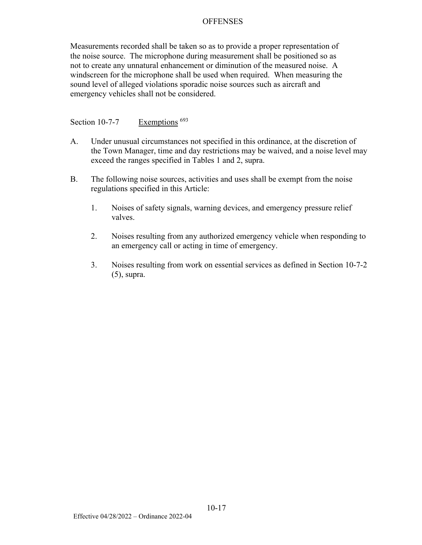Measurements recorded shall be taken so as to provide a proper representation of the noise source. The microphone during measurement shall be positioned so as not to create any unnatural enhancement or diminution of the measured noise. A windscreen for the microphone shall be used when required. When measuring the sound level of alleged violations sporadic noise sources such as aircraft and emergency vehicles shall not be considered.

# Section 10-7-7 Exemptions <sup>693</sup>

- A. Under unusual circumstances not specified in this ordinance, at the discretion of the Town Manager, time and day restrictions may be waived, and a noise level may exceed the ranges specified in Tables 1 and 2, supra.
- B. The following noise sources, activities and uses shall be exempt from the noise regulations specified in this Article:
	- 1. Noises of safety signals, warning devices, and emergency pressure relief valves.
	- 2. Noises resulting from any authorized emergency vehicle when responding to an emergency call or acting in time of emergency.
	- 3. Noises resulting from work on essential services as defined in Section 10-7-2 (5), supra.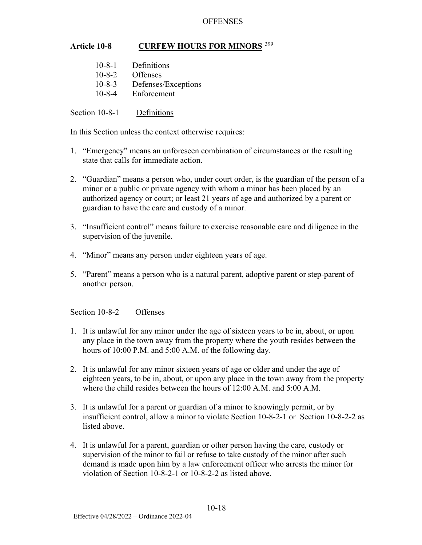# **Article 10-8 CURFEW HOURS FOR MINORS**<sup>399</sup>

| $10 - 8 - 1$ | Definitions         |
|--------------|---------------------|
| $10 - 8 - 2$ | <b>Offenses</b>     |
| $10 - 8 - 3$ | Defenses/Exceptions |
| $10 - 8 - 4$ | Enforcement         |

Section 10-8-1 Definitions

In this Section unless the context otherwise requires:

- 1. "Emergency" means an unforeseen combination of circumstances or the resulting state that calls for immediate action.
- 2. "Guardian" means a person who, under court order, is the guardian of the person of a minor or a public or private agency with whom a minor has been placed by an authorized agency or court; or least 21 years of age and authorized by a parent or guardian to have the care and custody of a minor.
- 3. "Insufficient control" means failure to exercise reasonable care and diligence in the supervision of the juvenile.
- 4. "Minor" means any person under eighteen years of age.
- 5. "Parent" means a person who is a natural parent, adoptive parent or step-parent of another person.

Section 10-8-2 Offenses

- 1. It is unlawful for any minor under the age of sixteen years to be in, about, or upon any place in the town away from the property where the youth resides between the hours of 10:00 P.M. and 5:00 A.M. of the following day.
- 2. It is unlawful for any minor sixteen years of age or older and under the age of eighteen years, to be in, about, or upon any place in the town away from the property where the child resides between the hours of 12:00 A.M. and 5:00 A.M.
- 3. It is unlawful for a parent or guardian of a minor to knowingly permit, or by insufficient control, allow a minor to violate Section 10-8-2-1 or Section 10-8-2-2 as listed above.
- 4. It is unlawful for a parent, guardian or other person having the care, custody or supervision of the minor to fail or refuse to take custody of the minor after such demand is made upon him by a law enforcement officer who arrests the minor for violation of Section 10-8-2-1 or 10-8-2-2 as listed above.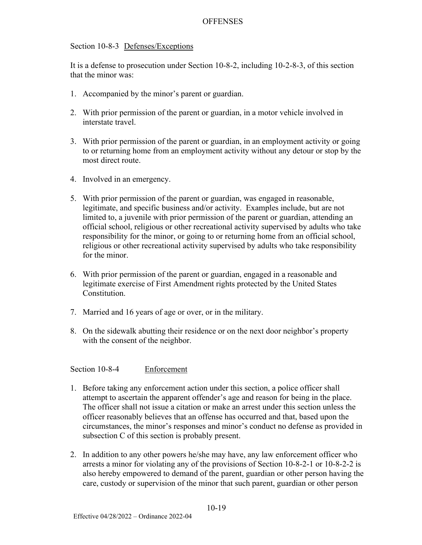#### Section 10-8-3 Defenses/Exceptions

It is a defense to prosecution under Section 10-8-2, including 10-2-8-3, of this section that the minor was:

- 1. Accompanied by the minor's parent or guardian.
- 2. With prior permission of the parent or guardian, in a motor vehicle involved in interstate travel.
- 3. With prior permission of the parent or guardian, in an employment activity or going to or returning home from an employment activity without any detour or stop by the most direct route.
- 4. Involved in an emergency.
- 5. With prior permission of the parent or guardian, was engaged in reasonable, legitimate, and specific business and/or activity. Examples include, but are not limited to, a juvenile with prior permission of the parent or guardian, attending an official school, religious or other recreational activity supervised by adults who take responsibility for the minor, or going to or returning home from an official school, religious or other recreational activity supervised by adults who take responsibility for the minor.
- 6. With prior permission of the parent or guardian, engaged in a reasonable and legitimate exercise of First Amendment rights protected by the United States Constitution.
- 7. Married and 16 years of age or over, or in the military.
- 8. On the sidewalk abutting their residence or on the next door neighbor's property with the consent of the neighbor.

Section 10-8-4 Enforcement

- 1. Before taking any enforcement action under this section, a police officer shall attempt to ascertain the apparent offender's age and reason for being in the place. The officer shall not issue a citation or make an arrest under this section unless the officer reasonably believes that an offense has occurred and that, based upon the circumstances, the minor's responses and minor's conduct no defense as provided in subsection C of this section is probably present.
- 2. In addition to any other powers he/she may have, any law enforcement officer who arrests a minor for violating any of the provisions of Section 10-8-2-1 or 10-8-2-2 is also hereby empowered to demand of the parent, guardian or other person having the care, custody or supervision of the minor that such parent, guardian or other person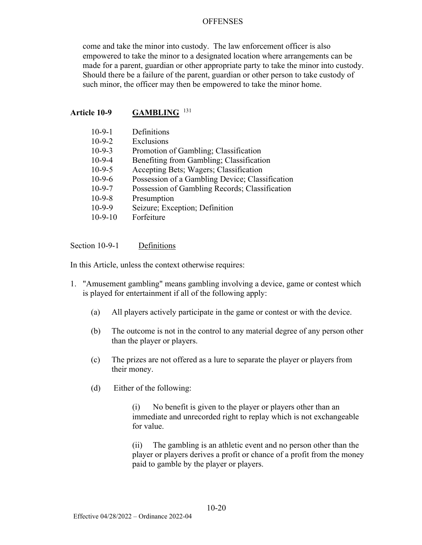come and take the minor into custody. The law enforcement officer is also empowered to take the minor to a designated location where arrangements can be made for a parent, guardian or other appropriate party to take the minor into custody. Should there be a failure of the parent, guardian or other person to take custody of such minor, the officer may then be empowered to take the minor home.

#### **Article 10-9 GAMBLING** <sup>131</sup>

| $10-9-1$  | Definitions                                     |
|-----------|-------------------------------------------------|
| $10-9-2$  | Exclusions                                      |
| $10-9-3$  | Promotion of Gambling; Classification           |
| $10-9-4$  | Benefiting from Gambling; Classification        |
| $10-9-5$  | Accepting Bets; Wagers; Classification          |
| $10-9-6$  | Possession of a Gambling Device; Classification |
| $10-9-7$  | Possession of Gambling Records; Classification  |
| $10-9-8$  | Presumption                                     |
| $10-9-9$  | Seizure; Exception; Definition                  |
| $10-9-10$ | Forfeiture                                      |

Section 10-9-1 Definitions

In this Article, unless the context otherwise requires:

- 1. "Amusement gambling" means gambling involving a device, game or contest which is played for entertainment if all of the following apply:
	- (a) All players actively participate in the game or contest or with the device.
	- (b) The outcome is not in the control to any material degree of any person other than the player or players.
	- (c) The prizes are not offered as a lure to separate the player or players from their money.
	- (d) Either of the following:

 (i) No benefit is given to the player or players other than an immediate and unrecorded right to replay which is not exchangeable for value.

 (ii) The gambling is an athletic event and no person other than the player or players derives a profit or chance of a profit from the money paid to gamble by the player or players.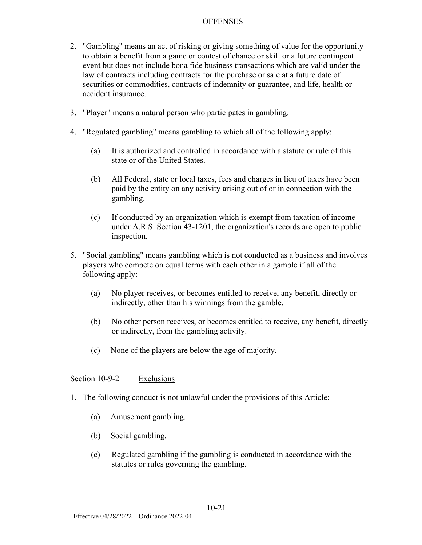- 2. "Gambling" means an act of risking or giving something of value for the opportunity to obtain a benefit from a game or contest of chance or skill or a future contingent event but does not include bona fide business transactions which are valid under the law of contracts including contracts for the purchase or sale at a future date of securities or commodities, contracts of indemnity or guarantee, and life, health or accident insurance.
- 3. "Player" means a natural person who participates in gambling.
- 4. "Regulated gambling" means gambling to which all of the following apply:
	- (a) It is authorized and controlled in accordance with a statute or rule of this state or of the United States.
	- (b) All Federal, state or local taxes, fees and charges in lieu of taxes have been paid by the entity on any activity arising out of or in connection with the gambling.
	- (c) If conducted by an organization which is exempt from taxation of income under A.R.S. Section 43-1201, the organization's records are open to public inspection.
- 5. "Social gambling" means gambling which is not conducted as a business and involves players who compete on equal terms with each other in a gamble if all of the following apply:
	- (a) No player receives, or becomes entitled to receive, any benefit, directly or indirectly, other than his winnings from the gamble.
	- (b) No other person receives, or becomes entitled to receive, any benefit, directly or indirectly, from the gambling activity.
	- (c) None of the players are below the age of majority.

# Section 10-9-2 Exclusions

- 1. The following conduct is not unlawful under the provisions of this Article:
	- (a) Amusement gambling.
	- (b) Social gambling.
	- (c) Regulated gambling if the gambling is conducted in accordance with the statutes or rules governing the gambling.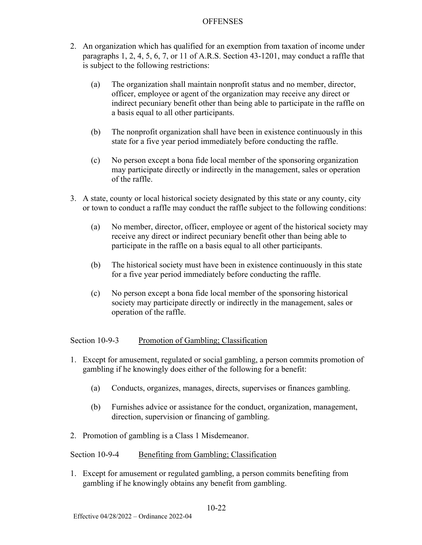- 2. An organization which has qualified for an exemption from taxation of income under paragraphs 1, 2, 4, 5, 6, 7, or 11 of A.R.S. Section 43-1201, may conduct a raffle that is subject to the following restrictions:
	- (a) The organization shall maintain nonprofit status and no member, director, officer, employee or agent of the organization may receive any direct or indirect pecuniary benefit other than being able to participate in the raffle on a basis equal to all other participants.
	- (b) The nonprofit organization shall have been in existence continuously in this state for a five year period immediately before conducting the raffle.
	- (c) No person except a bona fide local member of the sponsoring organization may participate directly or indirectly in the management, sales or operation of the raffle.
- 3. A state, county or local historical society designated by this state or any county, city or town to conduct a raffle may conduct the raffle subject to the following conditions:
	- (a) No member, director, officer, employee or agent of the historical society may receive any direct or indirect pecuniary benefit other than being able to participate in the raffle on a basis equal to all other participants.
	- (b) The historical society must have been in existence continuously in this state for a five year period immediately before conducting the raffle.
	- (c) No person except a bona fide local member of the sponsoring historical society may participate directly or indirectly in the management, sales or operation of the raffle.

Section 10-9-3 Promotion of Gambling; Classification

- 1. Except for amusement, regulated or social gambling, a person commits promotion of gambling if he knowingly does either of the following for a benefit:
	- (a) Conducts, organizes, manages, directs, supervises or finances gambling.
	- (b) Furnishes advice or assistance for the conduct, organization, management, direction, supervision or financing of gambling.
- 2. Promotion of gambling is a Class 1 Misdemeanor.

Section 10-9-4 Benefiting from Gambling; Classification

1. Except for amusement or regulated gambling, a person commits benefiting from gambling if he knowingly obtains any benefit from gambling.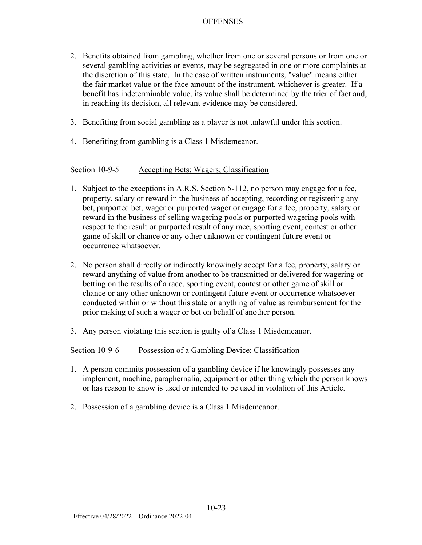- 2. Benefits obtained from gambling, whether from one or several persons or from one or several gambling activities or events, may be segregated in one or more complaints at the discretion of this state. In the case of written instruments, "value" means either the fair market value or the face amount of the instrument, whichever is greater. If a benefit has indeterminable value, its value shall be determined by the trier of fact and, in reaching its decision, all relevant evidence may be considered.
- 3. Benefiting from social gambling as a player is not unlawful under this section.
- 4. Benefiting from gambling is a Class 1 Misdemeanor.

# Section 10-9-5 Accepting Bets; Wagers; Classification

- 1. Subject to the exceptions in A.R.S. Section 5-112, no person may engage for a fee, property, salary or reward in the business of accepting, recording or registering any bet, purported bet, wager or purported wager or engage for a fee, property, salary or reward in the business of selling wagering pools or purported wagering pools with respect to the result or purported result of any race, sporting event, contest or other game of skill or chance or any other unknown or contingent future event or occurrence whatsoever.
- 2. No person shall directly or indirectly knowingly accept for a fee, property, salary or reward anything of value from another to be transmitted or delivered for wagering or betting on the results of a race, sporting event, contest or other game of skill or chance or any other unknown or contingent future event or occurrence whatsoever conducted within or without this state or anything of value as reimbursement for the prior making of such a wager or bet on behalf of another person.
- 3. Any person violating this section is guilty of a Class 1 Misdemeanor.

### Section 10-9-6 Possession of a Gambling Device; Classification

- 1. A person commits possession of a gambling device if he knowingly possesses any implement, machine, paraphernalia, equipment or other thing which the person knows or has reason to know is used or intended to be used in violation of this Article.
- 2. Possession of a gambling device is a Class 1 Misdemeanor.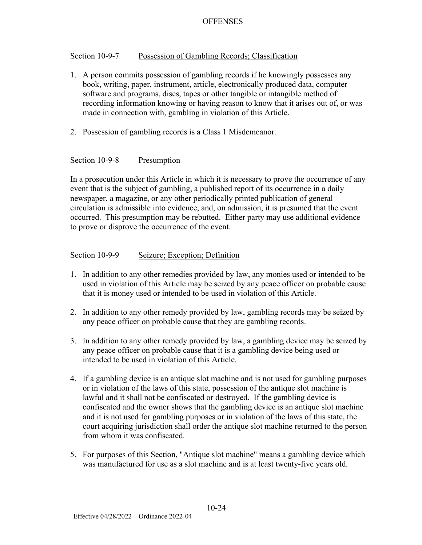# Section 10-9-7 Possession of Gambling Records; Classification

- 1. A person commits possession of gambling records if he knowingly possesses any book, writing, paper, instrument, article, electronically produced data, computer software and programs, discs, tapes or other tangible or intangible method of recording information knowing or having reason to know that it arises out of, or was made in connection with, gambling in violation of this Article.
- 2. Possession of gambling records is a Class 1 Misdemeanor.

#### Section 10-9-8 Presumption

In a prosecution under this Article in which it is necessary to prove the occurrence of any event that is the subject of gambling, a published report of its occurrence in a daily newspaper, a magazine, or any other periodically printed publication of general circulation is admissible into evidence, and, on admission, it is presumed that the event occurred. This presumption may be rebutted. Either party may use additional evidence to prove or disprove the occurrence of the event.

#### Section 10-9-9 Seizure; Exception; Definition

- 1. In addition to any other remedies provided by law, any monies used or intended to be used in violation of this Article may be seized by any peace officer on probable cause that it is money used or intended to be used in violation of this Article.
- 2. In addition to any other remedy provided by law, gambling records may be seized by any peace officer on probable cause that they are gambling records.
- 3. In addition to any other remedy provided by law, a gambling device may be seized by any peace officer on probable cause that it is a gambling device being used or intended to be used in violation of this Article.
- 4. If a gambling device is an antique slot machine and is not used for gambling purposes or in violation of the laws of this state, possession of the antique slot machine is lawful and it shall not be confiscated or destroyed. If the gambling device is confiscated and the owner shows that the gambling device is an antique slot machine and it is not used for gambling purposes or in violation of the laws of this state, the court acquiring jurisdiction shall order the antique slot machine returned to the person from whom it was confiscated.
- 5. For purposes of this Section, "Antique slot machine" means a gambling device which was manufactured for use as a slot machine and is at least twenty-five years old.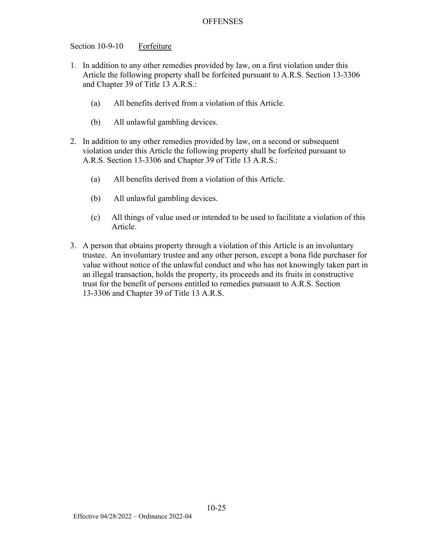Section 10-9-10 Forfeiture

- 1. In addition to any other remedies provided by law, on a first violation under this Article the following property shall be forfeited pursuant to A.R.S. Section 13-3306 and Chapter 39 of Title 13 A.R.S.:
	- (a) All benefits derived from a violation of this Article.
	- (b) All unlawful gambling devices.
- 2. In addition to any other remedies provided by law, on a second or subsequent violation under this Article the following property shall be forfeited pursuant to A.R.S. Section 13-3306 and Chapter 39 of Title 13 A.R.S.:
	- (a) All benefits derived from a violation of this Article.
	- (b) All unlawful gambling devices.
	- (c) All things of value used or intended to be used to facilitate a violation of this Article.
- 3. A person that obtains property through a violation of this Article is an involuntary trustee. An involuntary trustee and any other person, except a bona fide purchaser for value without notice of the unlawful conduct and who has not knowingly taken part in an illegal transaction, holds the property, its proceeds and its fruits in constructive trust for the benefit of persons entitled to remedies pursuant to A.R.S. Section 13-3306 and Chapter 39 of Title 13 A.R.S.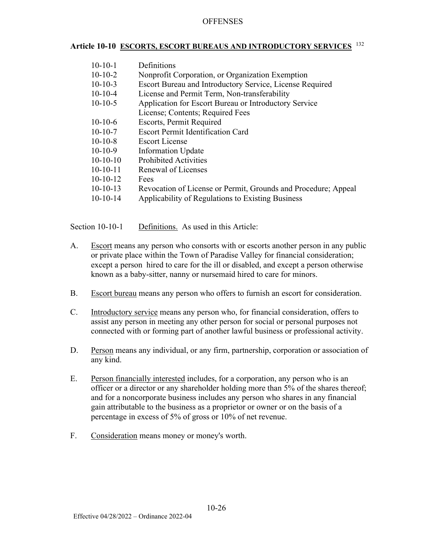# **Article 10-10 ESCORTS, ESCORT BUREAUS AND INTRODUCTORY SERVICES** <sup>132</sup>

- 10-10-1 Definitions
- 10-10-2 Nonprofit Corporation, or Organization Exemption
- 10-10-3 Escort Bureau and Introductory Service, License Required
- 10-10-4 License and Permit Term, Non-transferability
- 10-10-5 Application for Escort Bureau or Introductory Service
- License; Contents; Required Fees
- 10-10-6 Escorts, Permit Required
- 10-10-7 Escort Permit Identification Card
- 10-10-8 Escort License
- 10-10-9 Information Update
- 10-10-10 Prohibited Activities
- 10-10-11 Renewal of Licenses
- 10-10-12 Fees
- 10-10-13 Revocation of License or Permit, Grounds and Procedure; Appeal
- 10-10-14 Applicability of Regulations to Existing Business

Section 10-10-1 Definitions. As used in this Article:

- A. Escort means any person who consorts with or escorts another person in any public or private place within the Town of Paradise Valley for financial consideration; except a person hired to care for the ill or disabled, and except a person otherwise known as a baby-sitter, nanny or nursemaid hired to care for minors.
- B. Escort bureau means any person who offers to furnish an escort for consideration.
- C. Introductory service means any person who, for financial consideration, offers to assist any person in meeting any other person for social or personal purposes not connected with or forming part of another lawful business or professional activity.
- D. Person means any individual, or any firm, partnership, corporation or association of any kind.
- E. Person financially interested includes, for a corporation, any person who is an officer or a director or any shareholder holding more than 5% of the shares thereof; and for a noncorporate business includes any person who shares in any financial gain attributable to the business as a proprietor or owner or on the basis of a percentage in excess of 5% of gross or 10% of net revenue.
- F. Consideration means money or money's worth.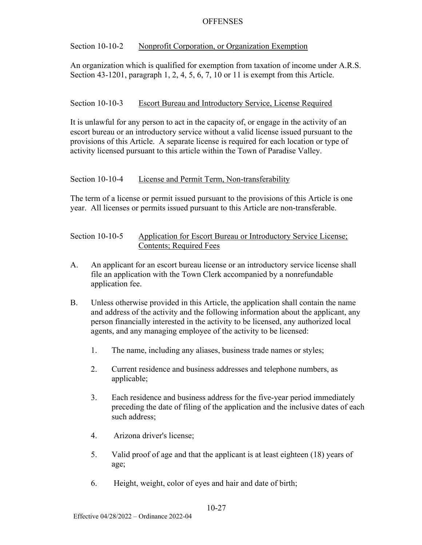## Section 10-10-2 Nonprofit Corporation, or Organization Exemption

An organization which is qualified for exemption from taxation of income under A.R.S. Section 43-1201, paragraph 1, 2, 4, 5, 6, 7, 10 or 11 is exempt from this Article.

# Section 10-10-3 Escort Bureau and Introductory Service, License Required

It is unlawful for any person to act in the capacity of, or engage in the activity of an escort bureau or an introductory service without a valid license issued pursuant to the provisions of this Article. A separate license is required for each location or type of activity licensed pursuant to this article within the Town of Paradise Valley.

# Section 10-10-4 License and Permit Term, Non-transferability

The term of a license or permit issued pursuant to the provisions of this Article is one year. All licenses or permits issued pursuant to this Article are non-transferable.

| Section $10-10-5$ | Application for Escort Bureau or Introductory Service License; |
|-------------------|----------------------------------------------------------------|
|                   | Contents; Required Fees                                        |

- A. An applicant for an escort bureau license or an introductory service license shall file an application with the Town Clerk accompanied by a nonrefundable application fee.
- B. Unless otherwise provided in this Article, the application shall contain the name and address of the activity and the following information about the applicant, any person financially interested in the activity to be licensed, any authorized local agents, and any managing employee of the activity to be licensed:
	- 1. The name, including any aliases, business trade names or styles;
	- 2. Current residence and business addresses and telephone numbers, as applicable;
	- 3. Each residence and business address for the five-year period immediately preceding the date of filing of the application and the inclusive dates of each such address;
	- 4. Arizona driver's license;
	- 5. Valid proof of age and that the applicant is at least eighteen (18) years of age;
	- 6. Height, weight, color of eyes and hair and date of birth;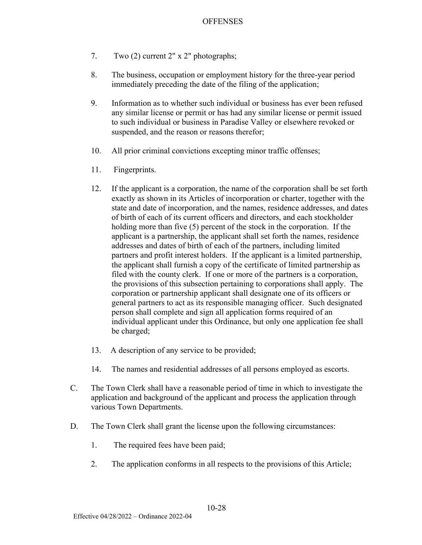- 7. Two (2) current 2" x 2" photographs;
- 8. The business, occupation or employment history for the three-year period immediately preceding the date of the filing of the application;
- 9. Information as to whether such individual or business has ever been refused any similar license or permit or has had any similar license or permit issued to such individual or business in Paradise Valley or elsewhere revoked or suspended, and the reason or reasons therefor;
- 10. All prior criminal convictions excepting minor traffic offenses;
- 11. Fingerprints.
- 12. If the applicant is a corporation, the name of the corporation shall be set forth exactly as shown in its Articles of incorporation or charter, together with the state and date of incorporation, and the names, residence addresses, and dates of birth of each of its current officers and directors, and each stockholder holding more than five (5) percent of the stock in the corporation. If the applicant is a partnership, the applicant shall set forth the names, residence addresses and dates of birth of each of the partners, including limited partners and profit interest holders. If the applicant is a limited partnership, the applicant shall furnish a copy of the certificate of limited partnership as filed with the county clerk. If one or more of the partners is a corporation, the provisions of this subsection pertaining to corporations shall apply. The corporation or partnership applicant shall designate one of its officers or general partners to act as its responsible managing officer. Such designated person shall complete and sign all application forms required of an individual applicant under this Ordinance, but only one application fee shall be charged;
- 13. A description of any service to be provided;
- 14. The names and residential addresses of all persons employed as escorts.
- C. The Town Clerk shall have a reasonable period of time in which to investigate the application and background of the applicant and process the application through various Town Departments.
- D. The Town Clerk shall grant the license upon the following circumstances:
	- 1. The required fees have been paid;
	- 2. The application conforms in all respects to the provisions of this Article;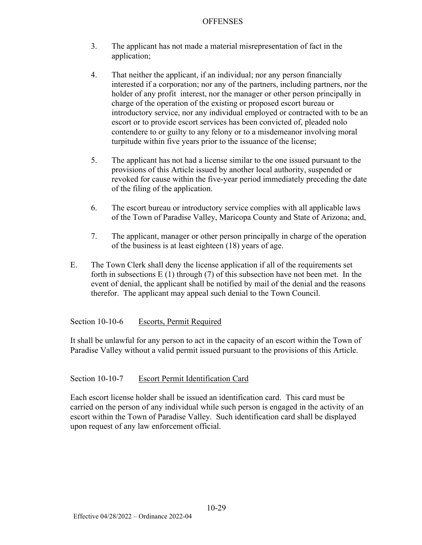- 3. The applicant has not made a material misrepresentation of fact in the application;
- 4. That neither the applicant, if an individual; nor any person financially interested if a corporation; nor any of the partners, including partners, nor the holder of any profit interest, nor the manager or other person principally in charge of the operation of the existing or proposed escort bureau or introductory service, nor any individual employed or contracted with to be an escort or to provide escort services has been convicted of, pleaded nolo contendere to or guilty to any felony or to a misdemeanor involving moral turpitude within five years prior to the issuance of the license;
- 5. The applicant has not had a license similar to the one issued pursuant to the provisions of this Article issued by another local authority, suspended or revoked for cause within the five-year period immediately preceding the date of the filing of the application.
- 6. The escort bureau or introductory service complies with all applicable laws of the Town of Paradise Valley, Maricopa County and State of Arizona; and,
- 7. The applicant, manager or other person principally in charge of the operation of the business is at least eighteen (18) years of age.
- E. The Town Clerk shall deny the license application if all of the requirements set forth in subsections  $E(1)$  through  $(7)$  of this subsection have not been met. In the event of denial, the applicant shall be notified by mail of the denial and the reasons therefor. The applicant may appeal such denial to the Town Council.

Section 10-10-6 Escorts, Permit Required

It shall be unlawful for any person to act in the capacity of an escort within the Town of Paradise Valley without a valid permit issued pursuant to the provisions of this Article.

# Section 10-10-7 Escort Permit Identification Card

Each escort license holder shall be issued an identification card. This card must be carried on the person of any individual while such person is engaged in the activity of an escort within the Town of Paradise Valley. Such identification card shall be displayed upon request of any law enforcement official.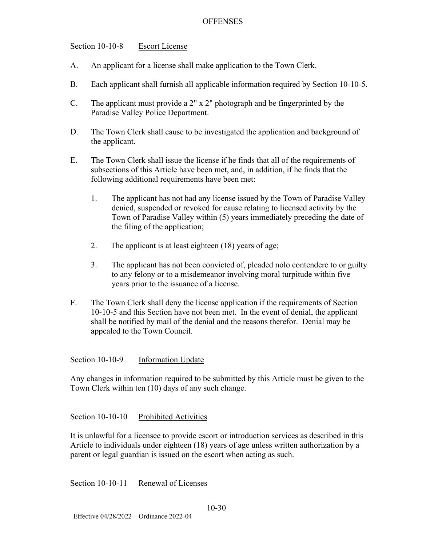Section 10-10-8 Escort License

- A. An applicant for a license shall make application to the Town Clerk.
- B. Each applicant shall furnish all applicable information required by Section 10-10-5.
- C. The applicant must provide a 2" x 2" photograph and be fingerprinted by the Paradise Valley Police Department.
- D. The Town Clerk shall cause to be investigated the application and background of the applicant.
- E. The Town Clerk shall issue the license if he finds that all of the requirements of subsections of this Article have been met, and, in addition, if he finds that the following additional requirements have been met:
	- 1. The applicant has not had any license issued by the Town of Paradise Valley denied, suspended or revoked for cause relating to licensed activity by the Town of Paradise Valley within (5) years immediately preceding the date of the filing of the application;
	- 2. The applicant is at least eighteen (18) years of age;
	- 3. The applicant has not been convicted of, pleaded nolo contendere to or guilty to any felony or to a misdemeanor involving moral turpitude within five years prior to the issuance of a license.
- F. The Town Clerk shall deny the license application if the requirements of Section 10-10-5 and this Section have not been met. In the event of denial, the applicant shall be notified by mail of the denial and the reasons therefor. Denial may be appealed to the Town Council.

Section 10-10-9 <u>Information Update</u>

Any changes in information required to be submitted by this Article must be given to the Town Clerk within ten (10) days of any such change.

Section 10-10-10 Prohibited Activities

It is unlawful for a licensee to provide escort or introduction services as described in this Article to individuals under eighteen (18) years of age unless written authorization by a parent or legal guardian is issued on the escort when acting as such.

Section 10-10-11 Renewal of Licenses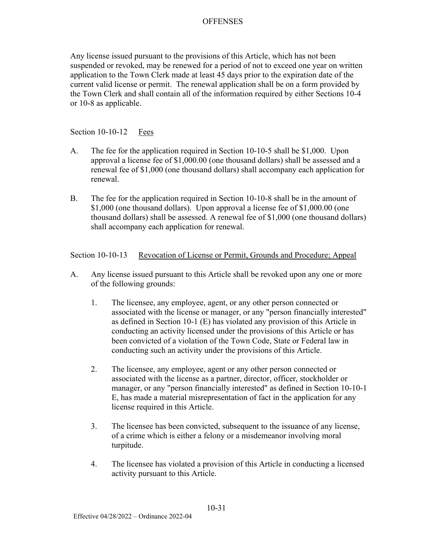Any license issued pursuant to the provisions of this Article, which has not been suspended or revoked, may be renewed for a period of not to exceed one year on written application to the Town Clerk made at least 45 days prior to the expiration date of the current valid license or permit. The renewal application shall be on a form provided by the Town Clerk and shall contain all of the information required by either Sections 10-4 or 10-8 as applicable.

Section 10-10-12 Fees

- A. The fee for the application required in Section 10-10-5 shall be \$1,000. Upon approval a license fee of \$1,000.00 (one thousand dollars) shall be assessed and a renewal fee of \$1,000 (one thousand dollars) shall accompany each application for renewal.
- B. The fee for the application required in Section 10-10-8 shall be in the amount of \$1,000 (one thousand dollars). Upon approval a license fee of \$1,000.00 (one thousand dollars) shall be assessed. A renewal fee of \$1,000 (one thousand dollars) shall accompany each application for renewal.

### Section 10-10-13 Revocation of License or Permit, Grounds and Procedure; Appeal

- A. Any license issued pursuant to this Article shall be revoked upon any one or more of the following grounds:
	- 1. The licensee, any employee, agent, or any other person connected or associated with the license or manager, or any "person financially interested" as defined in Section 10-1 (E) has violated any provision of this Article in conducting an activity licensed under the provisions of this Article or has been convicted of a violation of the Town Code, State or Federal law in conducting such an activity under the provisions of this Article.
	- 2. The licensee, any employee, agent or any other person connected or associated with the license as a partner, director, officer, stockholder or manager, or any "person financially interested" as defined in Section 10-10-1 E, has made a material misrepresentation of fact in the application for any license required in this Article.
	- 3. The licensee has been convicted, subsequent to the issuance of any license, of a crime which is either a felony or a misdemeanor involving moral turpitude.
	- 4. The licensee has violated a provision of this Article in conducting a licensed activity pursuant to this Article.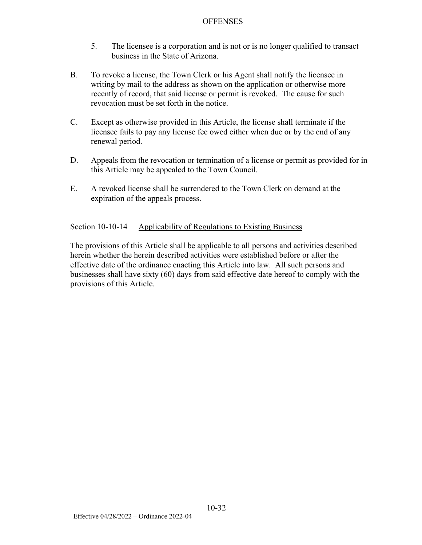- 5. The licensee is a corporation and is not or is no longer qualified to transact business in the State of Arizona.
- B. To revoke a license, the Town Clerk or his Agent shall notify the licensee in writing by mail to the address as shown on the application or otherwise more recently of record, that said license or permit is revoked. The cause for such revocation must be set forth in the notice.
- C. Except as otherwise provided in this Article, the license shall terminate if the licensee fails to pay any license fee owed either when due or by the end of any renewal period.
- D. Appeals from the revocation or termination of a license or permit as provided for in this Article may be appealed to the Town Council.
- E. A revoked license shall be surrendered to the Town Clerk on demand at the expiration of the appeals process.

# Section 10-10-14 Applicability of Regulations to Existing Business

The provisions of this Article shall be applicable to all persons and activities described herein whether the herein described activities were established before or after the effective date of the ordinance enacting this Article into law. All such persons and businesses shall have sixty (60) days from said effective date hereof to comply with the provisions of this Article.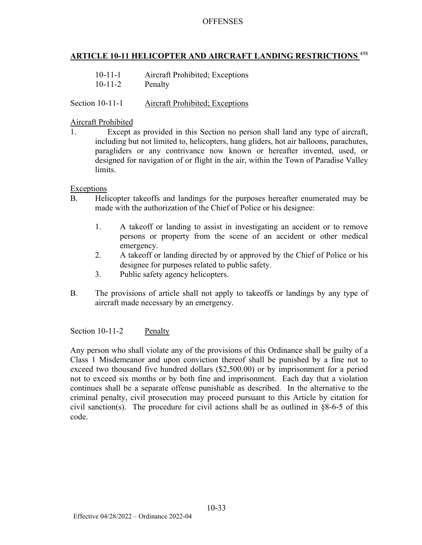# **ARTICLE 10-11 HELICOPTER AND AIRCRAFT LANDING RESTRICTIONS** <sup>498</sup>

| $10 - 11 - 1$ | Aircraft Prohibited; Exceptions |
|---------------|---------------------------------|
| $10 - 11 - 2$ | Penalty                         |

#### Section 10-11-1 Aircraft Prohibited; Exceptions

#### Aircraft Prohibited

1. Except as provided in this Section no person shall land any type of aircraft, including but not limited to, helicopters, hang gliders, hot air balloons, parachutes, paragliders or any contrivance now known or hereafter invented, used, or designed for navigation of or flight in the air, within the Town of Paradise Valley limits.

Exceptions

- B. Helicopter takeoffs and landings for the purposes hereafter enumerated may be made with the authorization of the Chief of Police or his designee:
	- 1. A takeoff or landing to assist in investigating an accident or to remove persons or property from the scene of an accident or other medical emergency.
	- 2. A takeoff or landing directed by or approved by the Chief of Police or his designee for purposes related to public safety.
	- 3. Public safety agency helicopters.
- B. The provisions of article shall not apply to takeoffs or landings by any type of aircraft made necessary by an emergency.

Section 10-11-2 Penalty

Any person who shall violate any of the provisions of this Ordinance shall be guilty of a Class 1 Misdemeanor and upon conviction thereof shall be punished by a fine not to exceed two thousand five hundred dollars (\$2,500.00) or by imprisonment for a period not to exceed six months or by both fine and imprisonment. Each day that a violation continues shall be a separate offense punishable as described. In the alternative to the criminal penalty, civil prosecution may proceed pursuant to this Article by citation for civil sanction(s). The procedure for civil actions shall be as outlined in  $\S 8$ -6-5 of this code.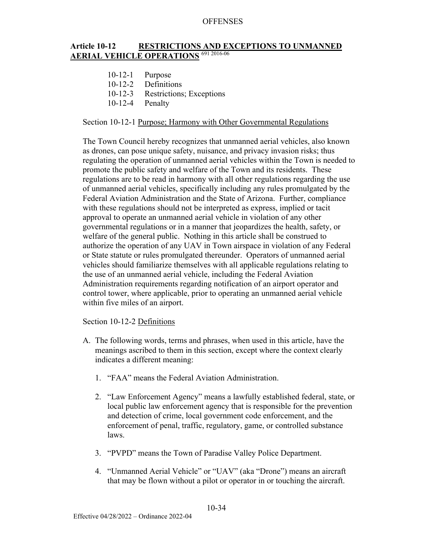#### **Article 10-12 RESTRICTIONS AND EXCEPTIONS TO UNMANNED AERIAL VEHICLE OPERATIONS** 691 2016-06

- 10-12-1 Purpose
- 10-12-2 Definitions
- 10-12-3 Restrictions; Exceptions
- 10-12-4 Penalty

#### Section 10-12-1 Purpose; Harmony with Other Governmental Regulations

The Town Council hereby recognizes that unmanned aerial vehicles, also known as drones, can pose unique safety, nuisance, and privacy invasion risks; thus regulating the operation of unmanned aerial vehicles within the Town is needed to promote the public safety and welfare of the Town and its residents. These regulations are to be read in harmony with all other regulations regarding the use of unmanned aerial vehicles, specifically including any rules promulgated by the Federal Aviation Administration and the State of Arizona. Further, compliance with these regulations should not be interpreted as express, implied or tacit approval to operate an unmanned aerial vehicle in violation of any other governmental regulations or in a manner that jeopardizes the health, safety, or welfare of the general public. Nothing in this article shall be construed to authorize the operation of any UAV in Town airspace in violation of any Federal or State statute or rules promulgated thereunder. Operators of unmanned aerial vehicles should familiarize themselves with all applicable regulations relating to the use of an unmanned aerial vehicle, including the Federal Aviation Administration requirements regarding notification of an airport operator and control tower, where applicable, prior to operating an unmanned aerial vehicle within five miles of an airport.

### Section 10-12-2 Definitions

- A. The following words, terms and phrases, when used in this article, have the meanings ascribed to them in this section, except where the context clearly indicates a different meaning:
	- 1. "FAA" means the Federal Aviation Administration.
	- 2. "Law Enforcement Agency" means a lawfully established federal, state, or local public law enforcement agency that is responsible for the prevention and detection of crime, local government code enforcement, and the enforcement of penal, traffic, regulatory, game, or controlled substance laws.
	- 3. "PVPD" means the Town of Paradise Valley Police Department.
	- 4. "Unmanned Aerial Vehicle" or "UAV" (aka "Drone") means an aircraft that may be flown without a pilot or operator in or touching the aircraft.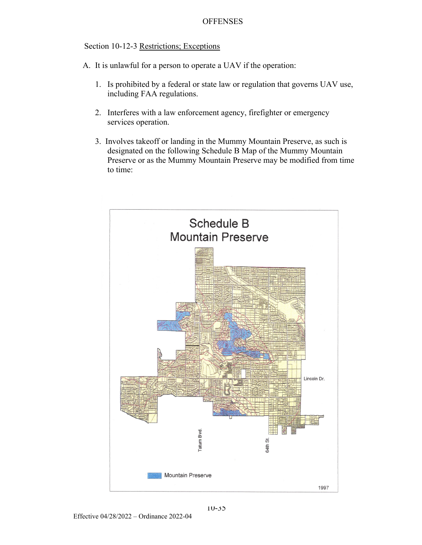#### Section 10-12-3 Restrictions; Exceptions

- A. It is unlawful for a person to operate a UAV if the operation:
	- 1. Is prohibited by a federal or state law or regulation that governs UAV use, including FAA regulations.
	- 2. Interferes with a law enforcement agency, firefighter or emergency services operation.
	- 3. Involves takeoff or landing in the Mummy Mountain Preserve, as such is designated on the following Schedule B Map of the Mummy Mountain Preserve or as the Mummy Mountain Preserve may be modified from time to time:

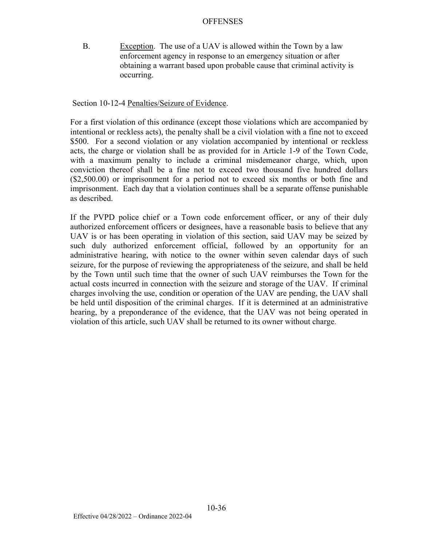B. Exception. The use of a UAV is allowed within the Town by a law enforcement agency in response to an emergency situation or after obtaining a warrant based upon probable cause that criminal activity is occurring.

Section 10-12-4 Penalties/Seizure of Evidence.

For a first violation of this ordinance (except those violations which are accompanied by intentional or reckless acts), the penalty shall be a civil violation with a fine not to exceed \$500. For a second violation or any violation accompanied by intentional or reckless acts, the charge or violation shall be as provided for in Article 1-9 of the Town Code, with a maximum penalty to include a criminal misdemeanor charge, which, upon conviction thereof shall be a fine not to exceed two thousand five hundred dollars (\$2,500.00) or imprisonment for a period not to exceed six months or both fine and imprisonment. Each day that a violation continues shall be a separate offense punishable as described.

If the PVPD police chief or a Town code enforcement officer, or any of their duly authorized enforcement officers or designees, have a reasonable basis to believe that any UAV is or has been operating in violation of this section, said UAV may be seized by such duly authorized enforcement official, followed by an opportunity for an administrative hearing, with notice to the owner within seven calendar days of such seizure, for the purpose of reviewing the appropriateness of the seizure, and shall be held by the Town until such time that the owner of such UAV reimburses the Town for the actual costs incurred in connection with the seizure and storage of the UAV. If criminal charges involving the use, condition or operation of the UAV are pending, the UAV shall be held until disposition of the criminal charges. If it is determined at an administrative hearing, by a preponderance of the evidence, that the UAV was not being operated in violation of this article, such UAV shall be returned to its owner without charge.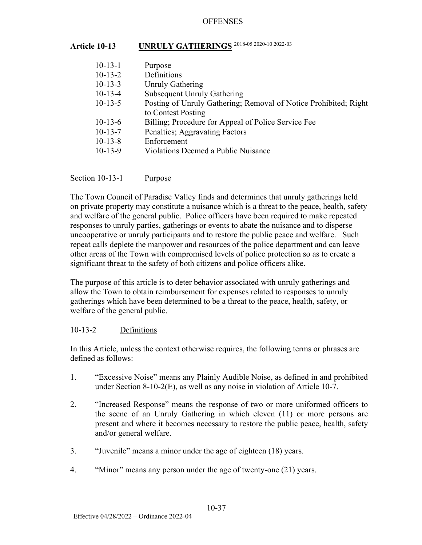# **Article 10-13 UNRULY GATHERINGS** 2018-05 2020-10 2022-03

| $10-13-1$ | Purpose                                                          |
|-----------|------------------------------------------------------------------|
| $10-13-2$ | Definitions                                                      |
| $10-13-3$ | <b>Unruly Gathering</b>                                          |
| $10-13-4$ | <b>Subsequent Unruly Gathering</b>                               |
| $10-13-5$ | Posting of Unruly Gathering; Removal of Notice Prohibited; Right |
|           | to Contest Posting                                               |
| $10-13-6$ | Billing; Procedure for Appeal of Police Service Fee              |
| $10-13-7$ | Penalties; Aggravating Factors                                   |
| $10-13-8$ | Enforcement                                                      |
| $10-13-9$ | <b>Violations Deemed a Public Nuisance</b>                       |
|           |                                                                  |

Section 10-13-1 Purpose

The Town Council of Paradise Valley finds and determines that unruly gatherings held on private property may constitute a nuisance which is a threat to the peace, health, safety and welfare of the general public. Police officers have been required to make repeated responses to unruly parties, gatherings or events to abate the nuisance and to disperse uncooperative or unruly participants and to restore the public peace and welfare. Such repeat calls deplete the manpower and resources of the police department and can leave other areas of the Town with compromised levels of police protection so as to create a significant threat to the safety of both citizens and police officers alike.

The purpose of this article is to deter behavior associated with unruly gatherings and allow the Town to obtain reimbursement for expenses related to responses to unruly gatherings which have been determined to be a threat to the peace, health, safety, or welfare of the general public.

## 10-13-2 Definitions

In this Article, unless the context otherwise requires, the following terms or phrases are defined as follows:

- 1. "Excessive Noise" means any Plainly Audible Noise, as defined in and prohibited under Section 8-10-2(E), as well as any noise in violation of Article 10-7.
- 2. "Increased Response" means the response of two or more uniformed officers to the scene of an Unruly Gathering in which eleven (11) or more persons are present and where it becomes necessary to restore the public peace, health, safety and/or general welfare.
- 3. "Juvenile" means a minor under the age of eighteen (18) years.
- 4. "Minor" means any person under the age of twenty-one (21) years.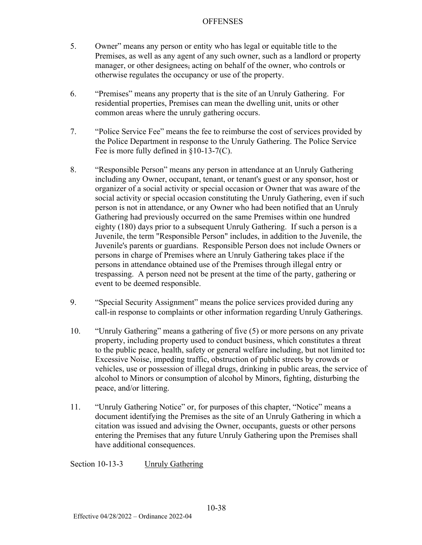- 5. Owner" means any person or entity who has legal or equitable title to the Premises, as well as any agent of any such owner, such as a landlord or property manager, or other designees, acting on behalf of the owner, who controls or otherwise regulates the occupancy or use of the property.
- 6. "Premises" means any property that is the site of an Unruly Gathering. For residential properties, Premises can mean the dwelling unit, units or other common areas where the unruly gathering occurs.
- 7. "Police Service Fee" means the fee to reimburse the cost of services provided by the Police Department in response to the Unruly Gathering. The Police Service Fee is more fully defined in §10-13-7(C).
- 8. "Responsible Person" means any person in attendance at an Unruly Gathering including any Owner, occupant, tenant, or tenant's guest or any sponsor, host or organizer of a social activity or special occasion or Owner that was aware of the social activity or special occasion constituting the Unruly Gathering, even if such person is not in attendance, or any Owner who had been notified that an Unruly Gathering had previously occurred on the same Premises within one hundred eighty (180) days prior to a subsequent Unruly Gathering. If such a person is a Juvenile, the term "Responsible Person" includes, in addition to the Juvenile, the Juvenile's parents or guardians. Responsible Person does not include Owners or persons in charge of Premises where an Unruly Gathering takes place if the persons in attendance obtained use of the Premises through illegal entry or trespassing. A person need not be present at the time of the party, gathering or event to be deemed responsible.
- 9. "Special Security Assignment" means the police services provided during any call-in response to complaints or other information regarding Unruly Gatherings.
- 10. "Unruly Gathering" means a gathering of five (5) or more persons on any private property, including property used to conduct business, which constitutes a threat to the public peace, health, safety or general welfare including, but not limited to**:**  Excessive Noise, impeding traffic, obstruction of public streets by crowds or vehicles, use or possession of illegal drugs, drinking in public areas, the service of alcohol to Minors or consumption of alcohol by Minors, fighting, disturbing the peace, and/or littering.
- 11. "Unruly Gathering Notice" or, for purposes of this chapter, "Notice" means a document identifying the Premises as the site of an Unruly Gathering in which a citation was issued and advising the Owner, occupants, guests or other persons entering the Premises that any future Unruly Gathering upon the Premises shall have additional consequences.

Section 10-13-3 Unruly Gathering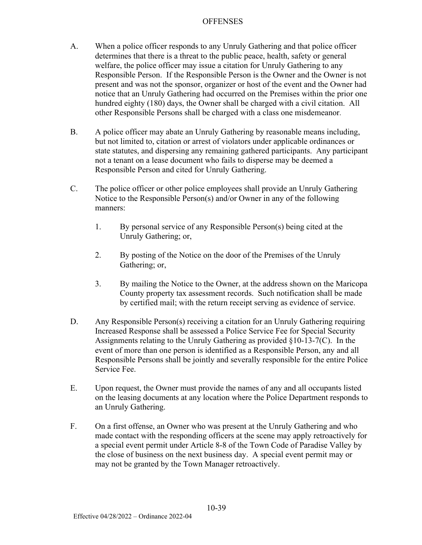- A. When a police officer responds to any Unruly Gathering and that police officer determines that there is a threat to the public peace, health, safety or general welfare, the police officer may issue a citation for Unruly Gathering to any Responsible Person. If the Responsible Person is the Owner and the Owner is not present and was not the sponsor, organizer or host of the event and the Owner had notice that an Unruly Gathering had occurred on the Premises within the prior one hundred eighty (180) days, the Owner shall be charged with a civil citation. All other Responsible Persons shall be charged with a class one misdemeanor.
- B. A police officer may abate an Unruly Gathering by reasonable means including, but not limited to, citation or arrest of violators under applicable ordinances or state statutes, and dispersing any remaining gathered participants. Any participant not a tenant on a lease document who fails to disperse may be deemed a Responsible Person and cited for Unruly Gathering.
- C. The police officer or other police employees shall provide an Unruly Gathering Notice to the Responsible Person(s) and/or Owner in any of the following manners:
	- 1. By personal service of any Responsible Person(s) being cited at the Unruly Gathering; or,
	- 2. By posting of the Notice on the door of the Premises of the Unruly Gathering; or,
	- 3. By mailing the Notice to the Owner, at the address shown on the Maricopa County property tax assessment records. Such notification shall be made by certified mail; with the return receipt serving as evidence of service.
- D. Any Responsible Person(s) receiving a citation for an Unruly Gathering requiring Increased Response shall be assessed a Police Service Fee for Special Security Assignments relating to the Unruly Gathering as provided §10-13-7(C). In the event of more than one person is identified as a Responsible Person, any and all Responsible Persons shall be jointly and severally responsible for the entire Police Service Fee.
- E. Upon request, the Owner must provide the names of any and all occupants listed on the leasing documents at any location where the Police Department responds to an Unruly Gathering.
- F. On a first offense, an Owner who was present at the Unruly Gathering and who made contact with the responding officers at the scene may apply retroactively for a special event permit under Article 8-8 of the Town Code of Paradise Valley by the close of business on the next business day. A special event permit may or may not be granted by the Town Manager retroactively.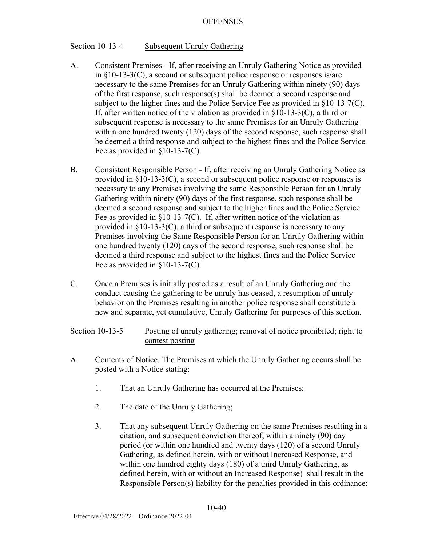#### Section 10-13-4 Subsequent Unruly Gathering

- A. Consistent Premises If, after receiving an Unruly Gathering Notice as provided in §10-13-3(C), a second or subsequent police response or responses is/are necessary to the same Premises for an Unruly Gathering within ninety (90) days of the first response, such response(s) shall be deemed a second response and subject to the higher fines and the Police Service Fee as provided in §10-13-7(C). If, after written notice of the violation as provided in §10-13-3(C), a third or subsequent response is necessary to the same Premises for an Unruly Gathering within one hundred twenty (120) days of the second response, such response shall be deemed a third response and subject to the highest fines and the Police Service Fee as provided in §10-13-7(C).
- B. Consistent Responsible Person If, after receiving an Unruly Gathering Notice as provided in §10-13-3(C), a second or subsequent police response or responses is necessary to any Premises involving the same Responsible Person for an Unruly Gathering within ninety (90) days of the first response, such response shall be deemed a second response and subject to the higher fines and the Police Service Fee as provided in  $\S 10$ -13-7(C). If, after written notice of the violation as provided in §10-13-3(C), a third or subsequent response is necessary to any Premises involving the Same Responsible Person for an Unruly Gathering within one hundred twenty (120) days of the second response, such response shall be deemed a third response and subject to the highest fines and the Police Service Fee as provided in §10-13-7(C).
- C. Once a Premises is initially posted as a result of an Unruly Gathering and the conduct causing the gathering to be unruly has ceased, a resumption of unruly behavior on the Premises resulting in another police response shall constitute a new and separate, yet cumulative, Unruly Gathering for purposes of this section.

Section 10-13-5 Posting of unruly gathering; removal of notice prohibited; right to contest posting

- A. Contents of Notice. The Premises at which the Unruly Gathering occurs shall be posted with a Notice stating:
	- 1. That an Unruly Gathering has occurred at the Premises;
	- 2. The date of the Unruly Gathering;
	- 3. That any subsequent Unruly Gathering on the same Premises resulting in a citation, and subsequent conviction thereof, within a ninety (90) day period (or within one hundred and twenty days (120) of a second Unruly Gathering, as defined herein, with or without Increased Response, and within one hundred eighty days (180) of a third Unruly Gathering, as defined herein, with or without an Increased Response) shall result in the Responsible Person(s) liability for the penalties provided in this ordinance;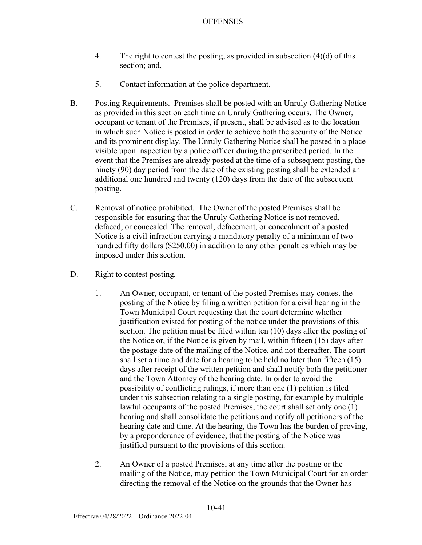- 4. The right to contest the posting, as provided in subsection (4)(d) of this section; and,
- 5. Contact information at the police department.
- B. Posting Requirements. Premises shall be posted with an Unruly Gathering Notice as provided in this section each time an Unruly Gathering occurs. The Owner, occupant or tenant of the Premises, if present, shall be advised as to the location in which such Notice is posted in order to achieve both the security of the Notice and its prominent display. The Unruly Gathering Notice shall be posted in a place visible upon inspection by a police officer during the prescribed period. In the event that the Premises are already posted at the time of a subsequent posting, the ninety (90) day period from the date of the existing posting shall be extended an additional one hundred and twenty (120) days from the date of the subsequent posting.
- C. Removal of notice prohibited. The Owner of the posted Premises shall be responsible for ensuring that the Unruly Gathering Notice is not removed, defaced, or concealed. The removal, defacement, or concealment of a posted Notice is a civil infraction carrying a mandatory penalty of a minimum of two hundred fifty dollars (\$250.00) in addition to any other penalties which may be imposed under this section.
- D. Right to contest posting*.*
	- 1. An Owner, occupant, or tenant of the posted Premises may contest the posting of the Notice by filing a written petition for a civil hearing in the Town Municipal Court requesting that the court determine whether justification existed for posting of the notice under the provisions of this section. The petition must be filed within ten (10) days after the posting of the Notice or, if the Notice is given by mail, within fifteen (15) days after the postage date of the mailing of the Notice, and not thereafter. The court shall set a time and date for a hearing to be held no later than fifteen (15) days after receipt of the written petition and shall notify both the petitioner and the Town Attorney of the hearing date. In order to avoid the possibility of conflicting rulings, if more than one (1) petition is filed under this subsection relating to a single posting, for example by multiple lawful occupants of the posted Premises, the court shall set only one (1) hearing and shall consolidate the petitions and notify all petitioners of the hearing date and time. At the hearing, the Town has the burden of proving, by a preponderance of evidence, that the posting of the Notice was justified pursuant to the provisions of this section.
	- 2. An Owner of a posted Premises, at any time after the posting or the mailing of the Notice, may petition the Town Municipal Court for an order directing the removal of the Notice on the grounds that the Owner has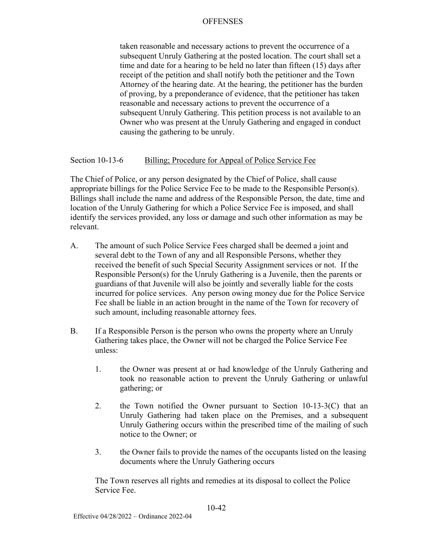taken reasonable and necessary actions to prevent the occurrence of a subsequent Unruly Gathering at the posted location. The court shall set a time and date for a hearing to be held no later than fifteen (15) days after receipt of the petition and shall notify both the petitioner and the Town Attorney of the hearing date. At the hearing, the petitioner has the burden of proving, by a preponderance of evidence, that the petitioner has taken reasonable and necessary actions to prevent the occurrence of a subsequent Unruly Gathering. This petition process is not available to an Owner who was present at the Unruly Gathering and engaged in conduct causing the gathering to be unruly.

#### Section 10-13-6 Billing; Procedure for Appeal of Police Service Fee

The Chief of Police, or any person designated by the Chief of Police, shall cause appropriate billings for the Police Service Fee to be made to the Responsible Person(s). Billings shall include the name and address of the Responsible Person, the date, time and location of the Unruly Gathering for which a Police Service Fee is imposed, and shall identify the services provided, any loss or damage and such other information as may be relevant.

- A. The amount of such Police Service Fees charged shall be deemed a joint and several debt to the Town of any and all Responsible Persons, whether they received the benefit of such Special Security Assignment services or not. If the Responsible Person(s) for the Unruly Gathering is a Juvenile, then the parents or guardians of that Juvenile will also be jointly and severally liable for the costs incurred for police services. Any person owing money due for the Police Service Fee shall be liable in an action brought in the name of the Town for recovery of such amount, including reasonable attorney fees.
- B. If a Responsible Person is the person who owns the property where an Unruly Gathering takes place, the Owner will not be charged the Police Service Fee unless:
	- 1. the Owner was present at or had knowledge of the Unruly Gathering and took no reasonable action to prevent the Unruly Gathering or unlawful gathering; or
	- 2. the Town notified the Owner pursuant to Section 10-13-3(C) that an Unruly Gathering had taken place on the Premises, and a subsequent Unruly Gathering occurs within the prescribed time of the mailing of such notice to the Owner; or
	- 3. the Owner fails to provide the names of the occupants listed on the leasing documents where the Unruly Gathering occurs

The Town reserves all rights and remedies at its disposal to collect the Police Service Fee.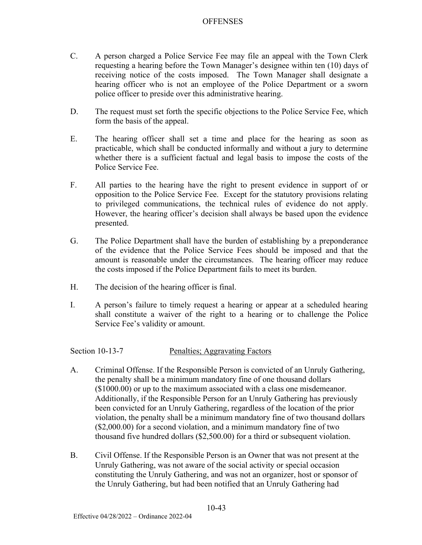- C. A person charged a Police Service Fee may file an appeal with the Town Clerk requesting a hearing before the Town Manager's designee within ten (10) days of receiving notice of the costs imposed. The Town Manager shall designate a hearing officer who is not an employee of the Police Department or a sworn police officer to preside over this administrative hearing.
- D. The request must set forth the specific objections to the Police Service Fee, which form the basis of the appeal.
- E. The hearing officer shall set a time and place for the hearing as soon as practicable, which shall be conducted informally and without a jury to determine whether there is a sufficient factual and legal basis to impose the costs of the Police Service Fee.
- F. All parties to the hearing have the right to present evidence in support of or opposition to the Police Service Fee. Except for the statutory provisions relating to privileged communications, the technical rules of evidence do not apply. However, the hearing officer's decision shall always be based upon the evidence presented.
- G. The Police Department shall have the burden of establishing by a preponderance of the evidence that the Police Service Fees should be imposed and that the amount is reasonable under the circumstances. The hearing officer may reduce the costs imposed if the Police Department fails to meet its burden.
- H. The decision of the hearing officer is final.
- I. A person's failure to timely request a hearing or appear at a scheduled hearing shall constitute a waiver of the right to a hearing or to challenge the Police Service Fee's validity or amount.

Section 10-13-7 Penalties; Aggravating Factors

- A. Criminal Offense. If the Responsible Person is convicted of an Unruly Gathering, the penalty shall be a minimum mandatory fine of one thousand dollars (\$1000.00) or up to the maximum associated with a class one misdemeanor. Additionally, if the Responsible Person for an Unruly Gathering has previously been convicted for an Unruly Gathering, regardless of the location of the prior violation, the penalty shall be a minimum mandatory fine of two thousand dollars (\$2,000.00) for a second violation, and a minimum mandatory fine of two thousand five hundred dollars (\$2,500.00) for a third or subsequent violation.
- B. Civil Offense. If the Responsible Person is an Owner that was not present at the Unruly Gathering, was not aware of the social activity or special occasion constituting the Unruly Gathering, and was not an organizer, host or sponsor of the Unruly Gathering, but had been notified that an Unruly Gathering had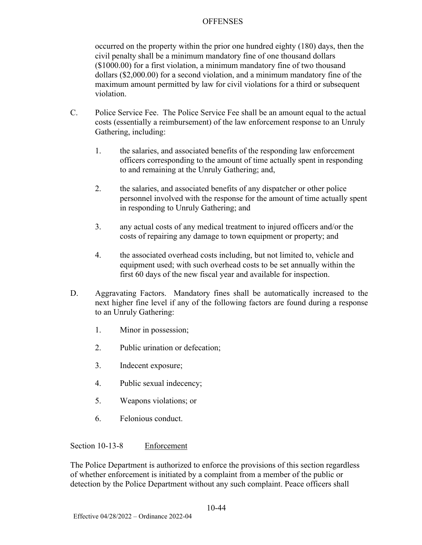occurred on the property within the prior one hundred eighty (180) days, then the civil penalty shall be a minimum mandatory fine of one thousand dollars (\$1000.00) for a first violation, a minimum mandatory fine of two thousand dollars (\$2,000.00) for a second violation, and a minimum mandatory fine of the maximum amount permitted by law for civil violations for a third or subsequent violation.

- C. Police Service Fee. The Police Service Fee shall be an amount equal to the actual costs (essentially a reimbursement) of the law enforcement response to an Unruly Gathering, including:
	- 1. the salaries, and associated benefits of the responding law enforcement officers corresponding to the amount of time actually spent in responding to and remaining at the Unruly Gathering; and,
	- 2. the salaries, and associated benefits of any dispatcher or other police personnel involved with the response for the amount of time actually spent in responding to Unruly Gathering; and
	- 3. any actual costs of any medical treatment to injured officers and/or the costs of repairing any damage to town equipment or property; and
	- 4. the associated overhead costs including, but not limited to, vehicle and equipment used; with such overhead costs to be set annually within the first 60 days of the new fiscal year and available for inspection.
- D. Aggravating Factors. Mandatory fines shall be automatically increased to the next higher fine level if any of the following factors are found during a response to an Unruly Gathering:
	- 1. Minor in possession;
	- 2. Public urination or defecation;
	- 3. Indecent exposure;
	- 4. Public sexual indecency;
	- 5. Weapons violations; or
	- 6. Felonious conduct.

Section 10-13-8 Enforcement

The Police Department is authorized to enforce the provisions of this section regardless of whether enforcement is initiated by a complaint from a member of the public or detection by the Police Department without any such complaint. Peace officers shall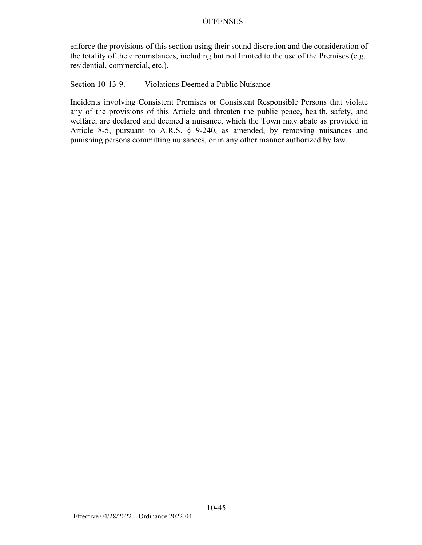enforce the provisions of this section using their sound discretion and the consideration of the totality of the circumstances, including but not limited to the use of the Premises (e.g. residential, commercial, etc.).

#### Section 10-13-9. Violations Deemed a Public Nuisance

Incidents involving Consistent Premises or Consistent Responsible Persons that violate any of the provisions of this Article and threaten the public peace, health, safety, and welfare, are declared and deemed a nuisance, which the Town may abate as provided in Article 8-5, pursuant to A.R.S. § 9-240, as amended, by removing nuisances and punishing persons committing nuisances, or in any other manner authorized by law.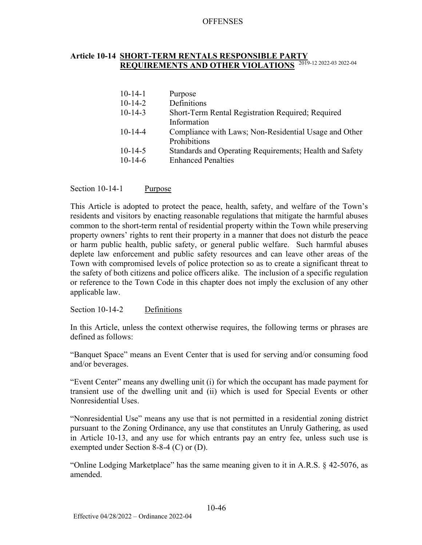# **Article 10-14 SHORT-TERM RENTALS RESPONSIBLE PARTY REQUIREMENTS AND OTHER VIOLATIONS** 2019-12 2022-03 2022-04

| $10-14-1$     | Purpose                                                 |
|---------------|---------------------------------------------------------|
| $10-14-2$     | Definitions                                             |
| $10-14-3$     | Short-Term Rental Registration Required; Required       |
|               | Information                                             |
| $10 - 14 - 4$ | Compliance with Laws; Non-Residential Usage and Other   |
|               | Prohibitions                                            |
| $10-14-5$     | Standards and Operating Requirements; Health and Safety |
| $10-14-6$     | <b>Enhanced Penalties</b>                               |
|               |                                                         |

Section 10-14-1 Purpose

This Article is adopted to protect the peace, health, safety, and welfare of the Town's residents and visitors by enacting reasonable regulations that mitigate the harmful abuses common to the short-term rental of residential property within the Town while preserving property owners' rights to rent their property in a manner that does not disturb the peace or harm public health, public safety, or general public welfare. Such harmful abuses deplete law enforcement and public safety resources and can leave other areas of the Town with compromised levels of police protection so as to create a significant threat to the safety of both citizens and police officers alike. The inclusion of a specific regulation or reference to the Town Code in this chapter does not imply the exclusion of any other applicable law.

Section 10-14-2 Definitions

In this Article, unless the context otherwise requires, the following terms or phrases are defined as follows:

"Banquet Space" means an Event Center that is used for serving and/or consuming food and/or beverages.

"Event Center" means any dwelling unit (i) for which the occupant has made payment for transient use of the dwelling unit and (ii) which is used for Special Events or other Nonresidential Uses.

"Nonresidential Use" means any use that is not permitted in a residential zoning district pursuant to the Zoning Ordinance, any use that constitutes an Unruly Gathering, as used in Article 10-13, and any use for which entrants pay an entry fee, unless such use is exempted under Section 8-8-4 (C) or (D).

"Online Lodging Marketplace" has the same meaning given to it in A.R.S. § 42-5076, as amended.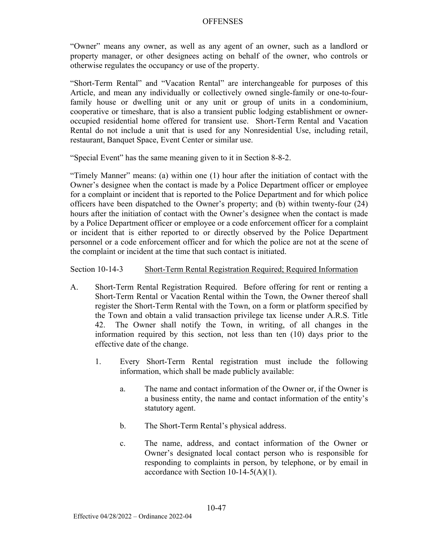"Owner" means any owner, as well as any agent of an owner, such as a landlord or property manager, or other designees acting on behalf of the owner, who controls or otherwise regulates the occupancy or use of the property.

"Short-Term Rental" and "Vacation Rental" are interchangeable for purposes of this Article, and mean any individually or collectively owned single-family or one-to-fourfamily house or dwelling unit or any unit or group of units in a condominium, cooperative or timeshare, that is also a transient public lodging establishment or owneroccupied residential home offered for transient use. Short-Term Rental and Vacation Rental do not include a unit that is used for any Nonresidential Use, including retail, restaurant, Banquet Space, Event Center or similar use.

"Special Event" has the same meaning given to it in Section 8-8-2.

"Timely Manner" means: (a) within one (1) hour after the initiation of contact with the Owner's designee when the contact is made by a Police Department officer or employee for a complaint or incident that is reported to the Police Department and for which police officers have been dispatched to the Owner's property; and (b) within twenty-four (24) hours after the initiation of contact with the Owner's designee when the contact is made by a Police Department officer or employee or a code enforcement officer for a complaint or incident that is either reported to or directly observed by the Police Department personnel or a code enforcement officer and for which the police are not at the scene of the complaint or incident at the time that such contact is initiated.

Section 10-14-3 Short-Term Rental Registration Required; Required Information

- A. Short-Term Rental Registration Required. Before offering for rent or renting a Short-Term Rental or Vacation Rental within the Town, the Owner thereof shall register the Short-Term Rental with the Town, on a form or platform specified by the Town and obtain a valid transaction privilege tax license under A.R.S. Title 42. The Owner shall notify the Town, in writing, of all changes in the information required by this section, not less than ten (10) days prior to the effective date of the change.
	- 1. Every Short-Term Rental registration must include the following information, which shall be made publicly available:
		- a. The name and contact information of the Owner or, if the Owner is a business entity, the name and contact information of the entity's statutory agent.
		- b. The Short-Term Rental's physical address.
		- c. The name, address, and contact information of the Owner or Owner's designated local contact person who is responsible for responding to complaints in person, by telephone, or by email in accordance with Section  $10-14-5(A)(1)$ .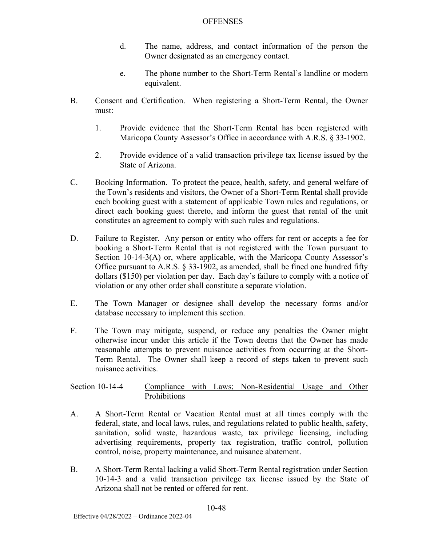- d. The name, address, and contact information of the person the Owner designated as an emergency contact.
- e. The phone number to the Short-Term Rental's landline or modern equivalent.
- B. Consent and Certification. When registering a Short-Term Rental, the Owner must:
	- 1. Provide evidence that the Short-Term Rental has been registered with Maricopa County Assessor's Office in accordance with A.R.S. § 33-1902.
	- 2. Provide evidence of a valid transaction privilege tax license issued by the State of Arizona.
- C. Booking Information. To protect the peace, health, safety, and general welfare of the Town's residents and visitors, the Owner of a Short-Term Rental shall provide each booking guest with a statement of applicable Town rules and regulations, or direct each booking guest thereto, and inform the guest that rental of the unit constitutes an agreement to comply with such rules and regulations.
- D. Failure to Register. Any person or entity who offers for rent or accepts a fee for booking a Short-Term Rental that is not registered with the Town pursuant to Section 10-14-3(A) or, where applicable, with the Maricopa County Assessor's Office pursuant to A.R.S. § 33-1902, as amended, shall be fined one hundred fifty dollars (\$150) per violation per day. Each day's failure to comply with a notice of violation or any other order shall constitute a separate violation.
- E. The Town Manager or designee shall develop the necessary forms and/or database necessary to implement this section.
- F. The Town may mitigate, suspend, or reduce any penalties the Owner might otherwise incur under this article if the Town deems that the Owner has made reasonable attempts to prevent nuisance activities from occurring at the Short-Term Rental. The Owner shall keep a record of steps taken to prevent such nuisance activities.

Section 10-14-4 Compliance with Laws; Non-Residential Usage and Other Prohibitions

- A. A Short-Term Rental or Vacation Rental must at all times comply with the federal, state, and local laws, rules, and regulations related to public health, safety, sanitation, solid waste, hazardous waste, tax privilege licensing, including advertising requirements, property tax registration, traffic control, pollution control, noise, property maintenance, and nuisance abatement.
- B. A Short-Term Rental lacking a valid Short-Term Rental registration under Section 10-14-3 and a valid transaction privilege tax license issued by the State of Arizona shall not be rented or offered for rent.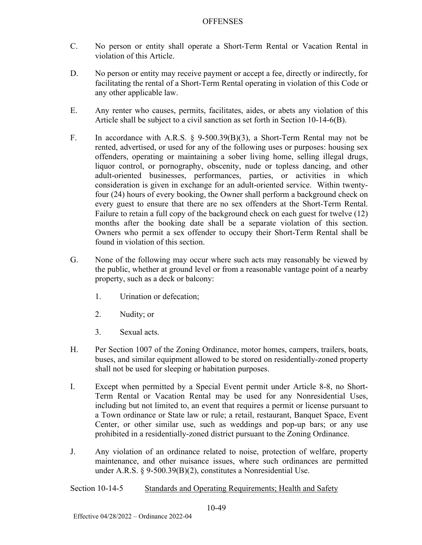- C. No person or entity shall operate a Short-Term Rental or Vacation Rental in violation of this Article.
- D. No person or entity may receive payment or accept a fee, directly or indirectly, for facilitating the rental of a Short-Term Rental operating in violation of this Code or any other applicable law.
- E. Any renter who causes, permits, facilitates, aides, or abets any violation of this Article shall be subject to a civil sanction as set forth in Section 10-14-6(B).
- F. In accordance with A.R.S. § 9-500.39(B)(3), a Short-Term Rental may not be rented, advertised, or used for any of the following uses or purposes: housing sex offenders, operating or maintaining a sober living home, selling illegal drugs, liquor control, or pornography, obscenity, nude or topless dancing, and other adult-oriented businesses, performances, parties, or activities in which consideration is given in exchange for an adult-oriented service. Within twentyfour (24) hours of every booking, the Owner shall perform a background check on every guest to ensure that there are no sex offenders at the Short-Term Rental. Failure to retain a full copy of the background check on each guest for twelve (12) months after the booking date shall be a separate violation of this section. Owners who permit a sex offender to occupy their Short-Term Rental shall be found in violation of this section.
- G. None of the following may occur where such acts may reasonably be viewed by the public, whether at ground level or from a reasonable vantage point of a nearby property, such as a deck or balcony:
	- 1. Urination or defecation;
	- 2. Nudity; or
	- 3. Sexual acts.
- H. Per Section 1007 of the Zoning Ordinance, motor homes, campers, trailers, boats, buses, and similar equipment allowed to be stored on residentially-zoned property shall not be used for sleeping or habitation purposes.
- I. Except when permitted by a Special Event permit under Article 8-8, no Short-Term Rental or Vacation Rental may be used for any Nonresidential Uses, including but not limited to, an event that requires a permit or license pursuant to a Town ordinance or State law or rule; a retail, restaurant, Banquet Space, Event Center, or other similar use, such as weddings and pop-up bars; or any use prohibited in a residentially-zoned district pursuant to the Zoning Ordinance.
- J. Any violation of an ordinance related to noise, protection of welfare, property maintenance, and other nuisance issues, where such ordinances are permitted under A.R.S. § 9-500.39(B)(2), constitutes a Nonresidential Use.

Section 10-14-5 Standards and Operating Requirements; Health and Safety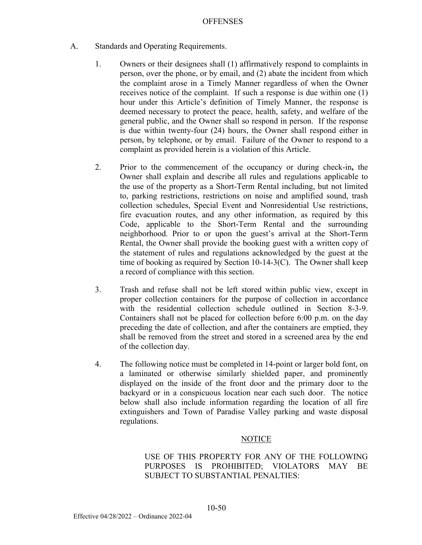- A. Standards and Operating Requirements.
	- 1. Owners or their designees shall (1) affirmatively respond to complaints in person, over the phone, or by email, and (2) abate the incident from which the complaint arose in a Timely Manner regardless of when the Owner receives notice of the complaint. If such a response is due within one (1) hour under this Article's definition of Timely Manner, the response is deemed necessary to protect the peace, health, safety, and welfare of the general public, and the Owner shall so respond in person. If the response is due within twenty-four (24) hours, the Owner shall respond either in person, by telephone, or by email. Failure of the Owner to respond to a complaint as provided herein is a violation of this Article.
	- 2. Prior to the commencement of the occupancy or during check-in**,** the Owner shall explain and describe all rules and regulations applicable to the use of the property as a Short-Term Rental including, but not limited to, parking restrictions, restrictions on noise and amplified sound, trash collection schedules, Special Event and Nonresidential Use restrictions, fire evacuation routes, and any other information, as required by this Code, applicable to the Short-Term Rental and the surrounding neighborhood. Prior to or upon the guest's arrival at the Short-Term Rental, the Owner shall provide the booking guest with a written copy of the statement of rules and regulations acknowledged by the guest at the time of booking as required by Section 10-14-3(C). The Owner shall keep a record of compliance with this section.
	- 3. Trash and refuse shall not be left stored within public view, except in proper collection containers for the purpose of collection in accordance with the residential collection schedule outlined in Section 8-3-9. Containers shall not be placed for collection before 6:00 p.m. on the day preceding the date of collection, and after the containers are emptied, they shall be removed from the street and stored in a screened area by the end of the collection day.
	- 4. The following notice must be completed in 14-point or larger bold font, on a laminated or otherwise similarly shielded paper, and prominently displayed on the inside of the front door and the primary door to the backyard or in a conspicuous location near each such door. The notice below shall also include information regarding the location of all fire extinguishers and Town of Paradise Valley parking and waste disposal regulations.

### **NOTICE**

USE OF THIS PROPERTY FOR ANY OF THE FOLLOWING PURPOSES IS PROHIBITED; VIOLATORS MAY BE SUBJECT TO SUBSTANTIAL PENALTIES: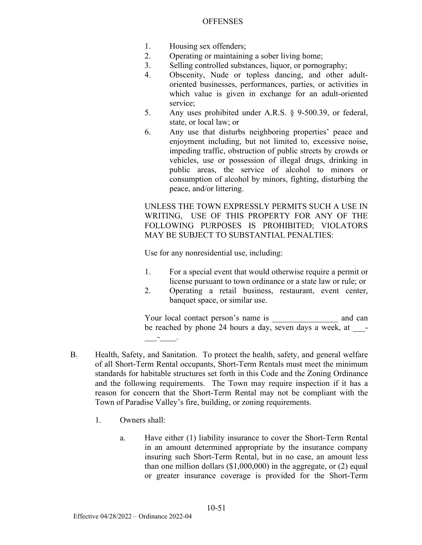- 1. Housing sex offenders;
- 2. Operating or maintaining a sober living home;
- 3. Selling controlled substances, liquor, or pornography;
- 4. Obscenity, Nude or topless dancing, and other adultoriented businesses, performances, parties, or activities in which value is given in exchange for an adult-oriented service;
- 5. Any uses prohibited under A.R.S. § 9-500.39, or federal, state, or local law; or
- 6. Any use that disturbs neighboring properties' peace and enjoyment including, but not limited to, excessive noise, impeding traffic, obstruction of public streets by crowds or vehicles, use or possession of illegal drugs, drinking in public areas, the service of alcohol to minors or consumption of alcohol by minors, fighting, disturbing the peace, and/or littering.

UNLESS THE TOWN EXPRESSLY PERMITS SUCH A USE IN WRITING, USE OF THIS PROPERTY FOR ANY OF THE FOLLOWING PURPOSES IS PROHIBITED; VIOLATORS MAY BE SUBJECT TO SUBSTANTIAL PENALTIES:

Use for any nonresidential use, including:

- 1. For a special event that would otherwise require a permit or license pursuant to town ordinance or a state law or rule; or
- 2. Operating a retail business, restaurant, event center, banquet space, or similar use.

Your local contact person's name is  $\qquad \qquad$  and can be reached by phone 24 hours a day, seven days a week, at \_\_\_\_\_- $\frac{1}{2}$   $\frac{1}{2}$   $\frac{1}{2}$   $\frac{1}{2}$   $\frac{1}{2}$   $\frac{1}{2}$   $\frac{1}{2}$   $\frac{1}{2}$   $\frac{1}{2}$   $\frac{1}{2}$   $\frac{1}{2}$   $\frac{1}{2}$   $\frac{1}{2}$   $\frac{1}{2}$   $\frac{1}{2}$   $\frac{1}{2}$   $\frac{1}{2}$   $\frac{1}{2}$   $\frac{1}{2}$   $\frac{1}{2}$   $\frac{1}{2}$   $\frac{1}{2}$ 

- B. Health, Safety, and Sanitation. To protect the health, safety, and general welfare of all Short-Term Rental occupants, Short-Term Rentals must meet the minimum standards for habitable structures set forth in this Code and the Zoning Ordinance and the following requirements. The Town may require inspection if it has a reason for concern that the Short-Term Rental may not be compliant with the Town of Paradise Valley's fire, building, or zoning requirements.
	- 1. Owners shall:
		- a. Have either (1) liability insurance to cover the Short-Term Rental in an amount determined appropriate by the insurance company insuring such Short-Term Rental, but in no case, an amount less than one million dollars  $(\$1,000,000)$  in the aggregate, or  $(2)$  equal or greater insurance coverage is provided for the Short-Term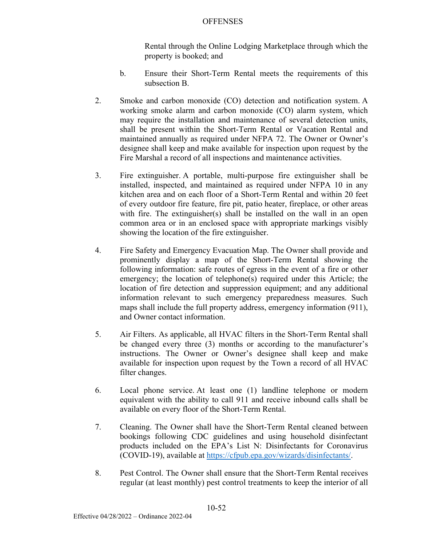Rental through the Online Lodging Marketplace through which the property is booked; and

- b. Ensure their Short-Term Rental meets the requirements of this subsection B.
- 2. Smoke and carbon monoxide (CO) detection and notification system. A working smoke alarm and carbon monoxide (CO) alarm system, which may require the installation and maintenance of several detection units, shall be present within the Short-Term Rental or Vacation Rental and maintained annually as required under NFPA 72. The Owner or Owner's designee shall keep and make available for inspection upon request by the Fire Marshal a record of all inspections and maintenance activities.
- 3. Fire extinguisher. A portable, multi-purpose fire extinguisher shall be installed, inspected, and maintained as required under NFPA 10 in any kitchen area and on each floor of a Short-Term Rental and within 20 feet of every outdoor fire feature, fire pit, patio heater, fireplace, or other areas with fire. The extinguisher(s) shall be installed on the wall in an open common area or in an enclosed space with appropriate markings visibly showing the location of the fire extinguisher.
- 4. Fire Safety and Emergency Evacuation Map. The Owner shall provide and prominently display a map of the Short-Term Rental showing the following information: safe routes of egress in the event of a fire or other emergency; the location of telephone(s) required under this Article; the location of fire detection and suppression equipment; and any additional information relevant to such emergency preparedness measures. Such maps shall include the full property address, emergency information (911), and Owner contact information.
- 5. Air Filters. As applicable, all HVAC filters in the Short-Term Rental shall be changed every three (3) months or according to the manufacturer's instructions. The Owner or Owner's designee shall keep and make available for inspection upon request by the Town a record of all HVAC filter changes.
- 6. Local phone service. At least one (1) landline telephone or modern equivalent with the ability to call 911 and receive inbound calls shall be available on every floor of the Short-Term Rental.
- 7. Cleaning. The Owner shall have the Short-Term Rental cleaned between bookings following CDC guidelines and using household disinfectant products included on the EPA's List N: Disinfectants for Coronavirus (COVID-19), available at https://cfpub.epa.gov/wizards/disinfectants/.
- 8. Pest Control. The Owner shall ensure that the Short-Term Rental receives regular (at least monthly) pest control treatments to keep the interior of all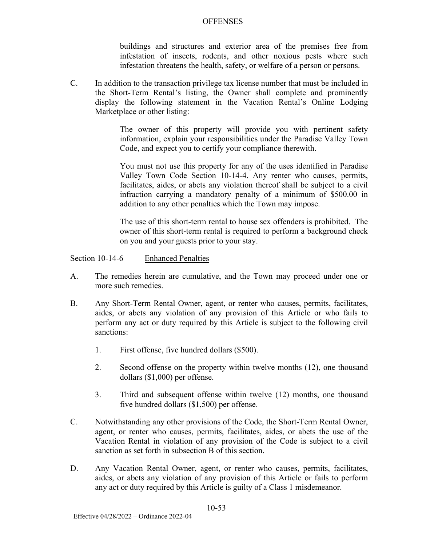buildings and structures and exterior area of the premises free from infestation of insects, rodents, and other noxious pests where such infestation threatens the health, safety, or welfare of a person or persons.

C. In addition to the transaction privilege tax license number that must be included in the Short-Term Rental's listing, the Owner shall complete and prominently display the following statement in the Vacation Rental's Online Lodging Marketplace or other listing:

> The owner of this property will provide you with pertinent safety information, explain your responsibilities under the Paradise Valley Town Code, and expect you to certify your compliance therewith.

> You must not use this property for any of the uses identified in Paradise Valley Town Code Section 10-14-4. Any renter who causes, permits, facilitates, aides, or abets any violation thereof shall be subject to a civil infraction carrying a mandatory penalty of a minimum of \$500.00 in addition to any other penalties which the Town may impose.

> The use of this short-term rental to house sex offenders is prohibited. The owner of this short-term rental is required to perform a background check on you and your guests prior to your stay.

Section 10-14-6 Enhanced Penalties

- A. The remedies herein are cumulative, and the Town may proceed under one or more such remedies.
- B. Any Short-Term Rental Owner, agent, or renter who causes, permits, facilitates, aides, or abets any violation of any provision of this Article or who fails to perform any act or duty required by this Article is subject to the following civil sanctions:
	- 1. First offense, five hundred dollars (\$500).
	- 2. Second offense on the property within twelve months (12), one thousand dollars (\$1,000) per offense.
	- 3. Third and subsequent offense within twelve (12) months, one thousand five hundred dollars (\$1,500) per offense.
- C. Notwithstanding any other provisions of the Code, the Short-Term Rental Owner, agent, or renter who causes, permits, facilitates, aides, or abets the use of the Vacation Rental in violation of any provision of the Code is subject to a civil sanction as set forth in subsection B of this section.
- D. Any Vacation Rental Owner, agent, or renter who causes, permits, facilitates, aides, or abets any violation of any provision of this Article or fails to perform any act or duty required by this Article is guilty of a Class 1 misdemeanor.